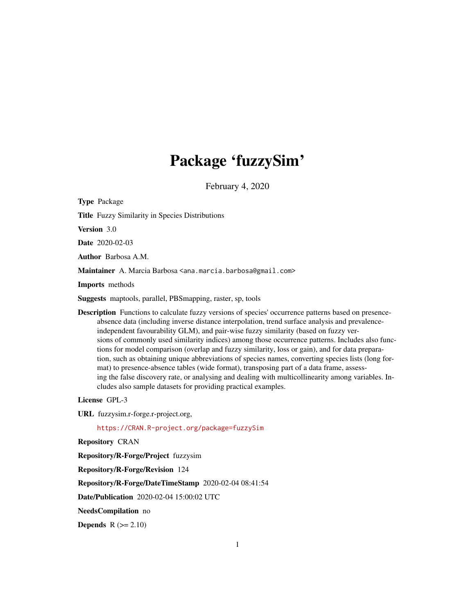# Package 'fuzzySim'

February 4, 2020

<span id="page-0-0"></span>Type Package Title Fuzzy Similarity in Species Distributions Version 3.0 Date 2020-02-03 Author Barbosa A.M. Maintainer A. Marcia Barbosa <ana.marcia.barbosa@gmail.com> Imports methods Suggests maptools, parallel, PBSmapping, raster, sp, tools Description Functions to calculate fuzzy versions of species' occurrence patterns based on presenceabsence data (including inverse distance interpolation, trend surface analysis and prevalenceindependent favourability GLM), and pair-wise fuzzy similarity (based on fuzzy versions of commonly used similarity indices) among those occurrence patterns. Includes also functions for model comparison (overlap and fuzzy similarity, loss or gain), and for data preparation, such as obtaining unique abbreviations of species names, converting species lists (long format) to presence-absence tables (wide format), transposing part of a data frame, assessing the false discovery rate, or analysing and dealing with multicollinearity among variables. In-

License GPL-3

URL fuzzysim.r-forge.r-project.org,

<https://CRAN.R-project.org/package=fuzzySim>

cludes also sample datasets for providing practical examples.

Repository CRAN

Repository/R-Forge/Project fuzzysim

Repository/R-Forge/Revision 124

Repository/R-Forge/DateTimeStamp 2020-02-04 08:41:54

Date/Publication 2020-02-04 15:00:02 UTC

NeedsCompilation no

Depends  $R (= 2.10)$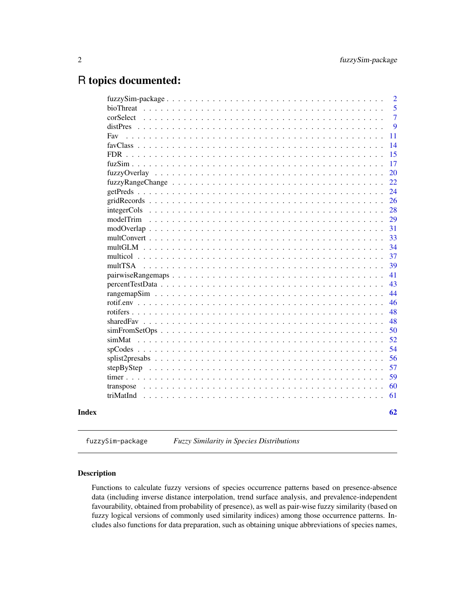# <span id="page-1-0"></span>R topics documented:

|                                                                                                                 |  |  |  |  |  |  |  |  |  |  |  |  |  | $\overline{2}$ |
|-----------------------------------------------------------------------------------------------------------------|--|--|--|--|--|--|--|--|--|--|--|--|--|----------------|
|                                                                                                                 |  |  |  |  |  |  |  |  |  |  |  |  |  | 5              |
| corSelect                                                                                                       |  |  |  |  |  |  |  |  |  |  |  |  |  | $\overline{7}$ |
| distPres                                                                                                        |  |  |  |  |  |  |  |  |  |  |  |  |  | 9              |
| Fav                                                                                                             |  |  |  |  |  |  |  |  |  |  |  |  |  | 11             |
|                                                                                                                 |  |  |  |  |  |  |  |  |  |  |  |  |  | 14             |
| $FDR$                                                                                                           |  |  |  |  |  |  |  |  |  |  |  |  |  | 15             |
|                                                                                                                 |  |  |  |  |  |  |  |  |  |  |  |  |  | 17             |
|                                                                                                                 |  |  |  |  |  |  |  |  |  |  |  |  |  | 20             |
|                                                                                                                 |  |  |  |  |  |  |  |  |  |  |  |  |  | 22             |
|                                                                                                                 |  |  |  |  |  |  |  |  |  |  |  |  |  | 24             |
|                                                                                                                 |  |  |  |  |  |  |  |  |  |  |  |  |  | 26             |
|                                                                                                                 |  |  |  |  |  |  |  |  |  |  |  |  |  | 28             |
| modelTrim                                                                                                       |  |  |  |  |  |  |  |  |  |  |  |  |  | 29             |
| $\text{modOverlap } \ldots \ldots \ldots \ldots \ldots \ldots \ldots \ldots \ldots \ldots \ldots \ldots \ldots$ |  |  |  |  |  |  |  |  |  |  |  |  |  | 31             |
|                                                                                                                 |  |  |  |  |  |  |  |  |  |  |  |  |  | 33             |
| $multGLM$                                                                                                       |  |  |  |  |  |  |  |  |  |  |  |  |  | 34             |
|                                                                                                                 |  |  |  |  |  |  |  |  |  |  |  |  |  | 37             |
| multTSA                                                                                                         |  |  |  |  |  |  |  |  |  |  |  |  |  | 39             |
|                                                                                                                 |  |  |  |  |  |  |  |  |  |  |  |  |  | 41             |
|                                                                                                                 |  |  |  |  |  |  |  |  |  |  |  |  |  | 43             |
|                                                                                                                 |  |  |  |  |  |  |  |  |  |  |  |  |  | 44             |
|                                                                                                                 |  |  |  |  |  |  |  |  |  |  |  |  |  | 46             |
|                                                                                                                 |  |  |  |  |  |  |  |  |  |  |  |  |  | 48             |
|                                                                                                                 |  |  |  |  |  |  |  |  |  |  |  |  |  | 48             |
|                                                                                                                 |  |  |  |  |  |  |  |  |  |  |  |  |  | 50             |
|                                                                                                                 |  |  |  |  |  |  |  |  |  |  |  |  |  | 52             |
|                                                                                                                 |  |  |  |  |  |  |  |  |  |  |  |  |  | 54             |
|                                                                                                                 |  |  |  |  |  |  |  |  |  |  |  |  |  | 56             |
|                                                                                                                 |  |  |  |  |  |  |  |  |  |  |  |  |  | 57             |
|                                                                                                                 |  |  |  |  |  |  |  |  |  |  |  |  |  | 59             |
| transpose                                                                                                       |  |  |  |  |  |  |  |  |  |  |  |  |  | 60             |
| triMatInd                                                                                                       |  |  |  |  |  |  |  |  |  |  |  |  |  | 61             |
|                                                                                                                 |  |  |  |  |  |  |  |  |  |  |  |  |  |                |
|                                                                                                                 |  |  |  |  |  |  |  |  |  |  |  |  |  | 62             |
|                                                                                                                 |  |  |  |  |  |  |  |  |  |  |  |  |  |                |

fuzzySim-package *Fuzzy Similarity in Species Distributions*

# Description

Functions to calculate fuzzy versions of species occurrence patterns based on presence-absence data (including inverse distance interpolation, trend surface analysis, and prevalence-independent favourability, obtained from probability of presence), as well as pair-wise fuzzy similarity (based on fuzzy logical versions of commonly used similarity indices) among those occurrence patterns. Includes also functions for data preparation, such as obtaining unique abbreviations of species names,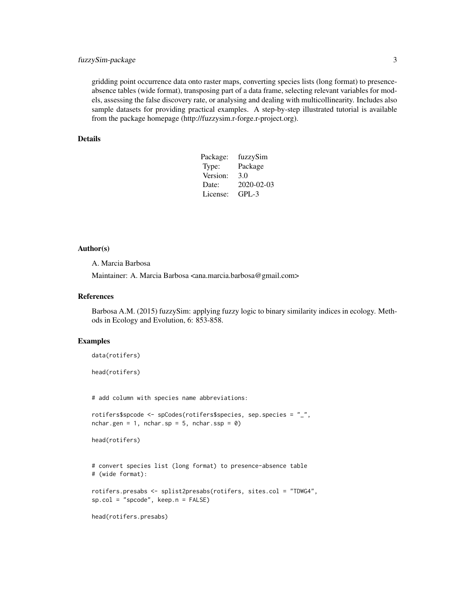# fuzzySim-package 3

gridding point occurrence data onto raster maps, converting species lists (long format) to presenceabsence tables (wide format), transposing part of a data frame, selecting relevant variables for models, assessing the false discovery rate, or analysing and dealing with multicollinearity. Includes also sample datasets for providing practical examples. A step-by-step illustrated tutorial is available from the package homepage (http://fuzzysim.r-forge.r-project.org).

# Details

| Package: | fuzzySim   |
|----------|------------|
| Type:    | Package    |
| Version: | 3.0        |
| Date:    | 2020-02-03 |
| License: | $GPI - 3$  |
|          |            |

# Author(s)

A. Marcia Barbosa

Maintainer: A. Marcia Barbosa <ana.marcia.barbosa@gmail.com>

# References

Barbosa A.M. (2015) fuzzySim: applying fuzzy logic to binary similarity indices in ecology. Methods in Ecology and Evolution, 6: 853-858.

# Examples

```
data(rotifers)
head(rotifers)
# add column with species name abbreviations:
rotifers$spcode <- spCodes(rotifers$species, sep.species = "_",
nchar.gen = 1, nchar.sp = 5, nchar.ssp = \theta)
head(rotifers)
# convert species list (long format) to presence-absence table
# (wide format):
rotifers.presabs <- splist2presabs(rotifers, sites.col = "TDWG4",
sp.col = "spcode", keep.n = FALSE)
```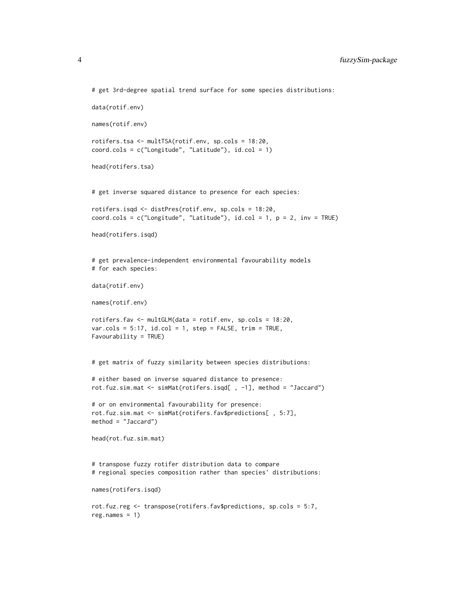```
# get 3rd-degree spatial trend surface for some species distributions:
data(rotif.env)
names(rotif.env)
rotifers.tsa <- multTSA(rotif.env, sp.cols = 18:20,
coord.cols = c("Longitude", "Latitude"), id.col = 1)
head(rotifers.tsa)
# get inverse squared distance to presence for each species:
rotifers.isqd <- distPres(rotif.env, sp.cols = 18:20,
coord.cols = c("Longitude", "Latitude"), id,col = 1, p = 2, inv = TRUE)head(rotifers.isqd)
# get prevalence-independent environmental favourability models
# for each species:
data(rotif.env)
names(rotif.env)
rotifers.fav <- multGLM(data = rotif.env, sp.cols = 18:20,
var.cols = 5:17, id,col = 1, step = FALSE, trim = TRUE,
Favourability = TRUE)
# get matrix of fuzzy similarity between species distributions:
# either based on inverse squared distance to presence:
rot.fuz.sim.mat <- simMat(rotifers.isqd[ , -1], method = "Jaccard")
# or on environmental favourability for presence:
rot.fuz.sim.mat <- simMat(rotifers.fav$predictions[ , 5:7],
method = "Jaccard")
head(rot.fuz.sim.mat)
# transpose fuzzy rotifer distribution data to compare
# regional species composition rather than species' distributions:
names(rotifers.isqd)
rot.fuz.reg <- transpose(rotifers.fav$predictions, sp.cols = 5:7,
reg.name = 1)
```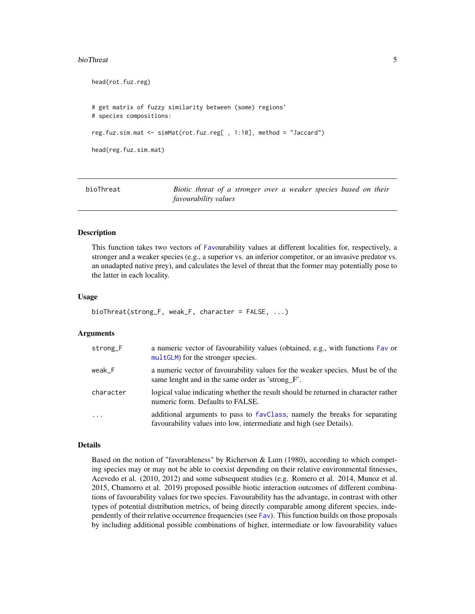#### <span id="page-4-0"></span>bioThreat 5

```
head(rot.fuz.reg)
# get matrix of fuzzy similarity between (some) regions'
# species compositions:
reg.fuz.sim.mat <- simMat(rot.fuz.reg[ , 1:10], method = "Jaccard")
head(reg.fuz.sim.mat)
```
<span id="page-4-1"></span>bioThreat *Biotic threat of a stronger over a weaker species based on their favourability values*

#### Description

This function takes two vectors of [Fav](#page-10-1)ourability values at different localities for, respectively, a stronger and a weaker species (e.g., a superior vs. an inferior competitor, or an invasive predator vs. an unadapted native prey), and calculates the level of threat that the former may potentially pose to the latter in each locality.

# Usage

```
bioThreat(strong_F, weak_F, character = FALSE, ...)
```
#### Arguments

| strong <sub>-F</sub> | a numeric vector of favourability values (obtained, e.g., with functions Fav or<br>multGLM) for the stronger species.                             |
|----------------------|---------------------------------------------------------------------------------------------------------------------------------------------------|
| weak F               | a numeric vector of favourability values for the weaker species. Must be of the<br>same lenght and in the same order as 'strong_F'.               |
| character            | logical value indicating whether the result should be returned in character rather<br>numeric form. Defaults to FALSE.                            |
| $\cdot$              | additional arguments to pass to favClass, namely the breaks for separating<br>favourability values into low, intermediate and high (see Details). |

# Details

Based on the notion of "favorableness" by Richerson & Lum (1980), according to which competing species may or may not be able to coexist depending on their relative environmental fitnesses, Acevedo et al. (2010, 2012) and some subsequent studies (e.g. Romero et al. 2014, Munoz et al. 2015, Chamorro et al. 2019) proposed possible biotic interaction outcomes of different combinations of favourability values for two species. Favourability has the advantage, in contrast with other types of potential distribution metrics, of being directly comparable among diferent species, independently of their relative occurrence frequencies (see [Fav](#page-10-1)). This function builds on those proposals by including additional possible combinations of higher, intermediate or low favourability values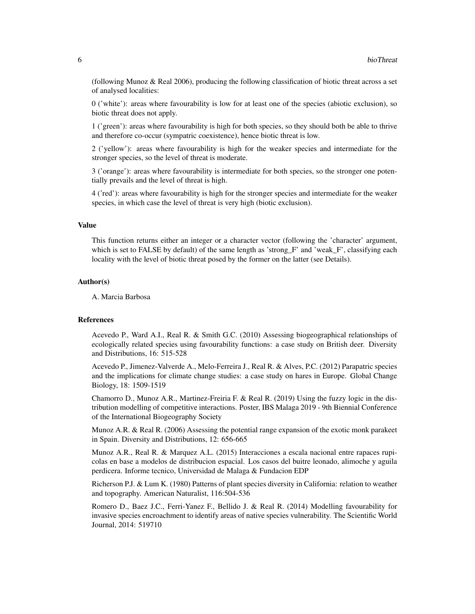(following Munoz & Real 2006), producing the following classification of biotic threat across a set of analysed localities:

0 ('white'): areas where favourability is low for at least one of the species (abiotic exclusion), so biotic threat does not apply.

1 ('green'): areas where favourability is high for both species, so they should both be able to thrive and therefore co-occur (sympatric coexistence), hence biotic threat is low.

2 ('yellow'): areas where favourability is high for the weaker species and intermediate for the stronger species, so the level of threat is moderate.

3 ('orange'): areas where favourability is intermediate for both species, so the stronger one potentially prevails and the level of threat is high.

4 ('red'): areas where favourability is high for the stronger species and intermediate for the weaker species, in which case the level of threat is very high (biotic exclusion).

# Value

This function returns either an integer or a character vector (following the 'character' argument, which is set to FALSE by default) of the same length as 'strong\_F' and 'weak\_F', classifying each locality with the level of biotic threat posed by the former on the latter (see Details).

# Author(s)

A. Marcia Barbosa

# References

Acevedo P., Ward A.I., Real R. & Smith G.C. (2010) Assessing biogeographical relationships of ecologically related species using favourability functions: a case study on British deer. Diversity and Distributions, 16: 515-528

Acevedo P., Jimenez-Valverde A., Melo-Ferreira J., Real R. & Alves, P.C. (2012) Parapatric species and the implications for climate change studies: a case study on hares in Europe. Global Change Biology, 18: 1509-1519

Chamorro D., Munoz A.R., Martinez-Freiria F. & Real R. (2019) Using the fuzzy logic in the distribution modelling of competitive interactions. Poster, IBS Malaga 2019 - 9th Biennial Conference of the International Biogeography Society

Munoz A.R. & Real R. (2006) Assessing the potential range expansion of the exotic monk parakeet in Spain. Diversity and Distributions, 12: 656-665

Munoz A.R., Real R. & Marquez A.L. (2015) Interacciones a escala nacional entre rapaces rupicolas en base a modelos de distribucion espacial. Los casos del buitre leonado, alimoche y aguila perdicera. Informe tecnico, Universidad de Malaga & Fundacion EDP

Richerson P.J. & Lum K. (1980) Patterns of plant species diversity in California: relation to weather and topography. American Naturalist, 116:504-536

Romero D., Baez J.C., Ferri-Yanez F., Bellido J. & Real R. (2014) Modelling favourability for invasive species encroachment to identify areas of native species vulnerability. The Scientific World Journal, 2014: 519710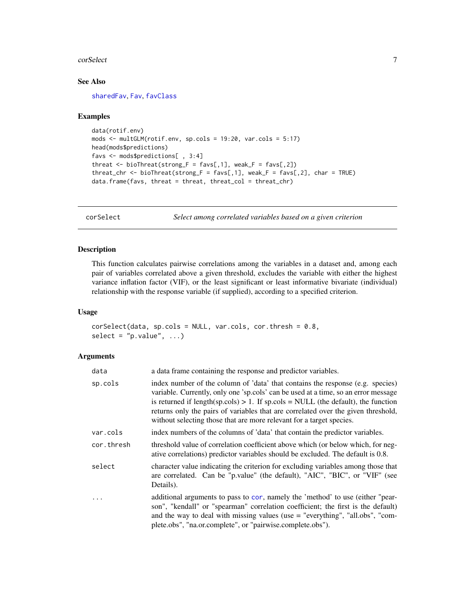#### <span id="page-6-0"></span>corSelect 7 and 2008 and 2008 and 2008 and 2008 and 2008 and 2008 and 2008 and 2008 and 2008 and 2008 and 2008

# See Also

[sharedFav](#page-47-1), [Fav](#page-10-1), [favClass](#page-13-1)

#### Examples

```
data(rotif.env)
mods <- multGLM(rotif.env, sp.cols = 19:20, var.cols = 5:17)
head(mods$predictions)
favs <- mods$predictions[ , 3:4]
threat \le bioThreat(strong_F = favs[,1], weak_F = favs[,2])
threat_chr <- bioThreat(strong_F = favs[,1], weak_F = favs[,2], char = TRUE)
data.frame(favs, threat = threat, threat_col = threat_chr)
```
<span id="page-6-1"></span>corSelect *Select among correlated variables based on a given criterion*

# Description

This function calculates pairwise correlations among the variables in a dataset and, among each pair of variables correlated above a given threshold, excludes the variable with either the highest variance inflation factor (VIF), or the least significant or least informative bivariate (individual) relationship with the response variable (if supplied), according to a specified criterion.

# Usage

```
corSelect(data, sp.close = NULL, var.close, cor.thresh = 0.8,select = "p.value", ...)
```
# **Arguments**

| data       | a data frame containing the response and predictor variables.                                                                                                                                                                                                                                                                                                                                                             |
|------------|---------------------------------------------------------------------------------------------------------------------------------------------------------------------------------------------------------------------------------------------------------------------------------------------------------------------------------------------------------------------------------------------------------------------------|
| sp.cols    | index number of the column of 'data' that contains the response (e.g. species)<br>variable. Currently, only one 'sp.cols' can be used at a time, so an error message<br>is returned if length(sp.cols) $> 1$ . If sp.cols = NULL (the default), the function<br>returns only the pairs of variables that are correlated over the given threshold,<br>without selecting those that are more relevant for a target species. |
| var.cols   | index numbers of the columns of 'data' that contain the predictor variables.                                                                                                                                                                                                                                                                                                                                              |
| cor.thresh | threshold value of correlation coefficient above which (or below which, for neg-<br>ative correlations) predictor variables should be excluded. The default is 0.8.                                                                                                                                                                                                                                                       |
| select     | character value indicating the criterion for excluding variables among those that<br>are correlated. Can be "p.value" (the default), "AIC", "BIC", or "VIF" (see<br>Details).                                                                                                                                                                                                                                             |
| $\ddots$   | additional arguments to pass to cor, namely the 'method' to use (either "pear-<br>son", "kendall" or "spearman" correlation coefficient; the first is the default)<br>and the way to deal with missing values (use $=$ "everything", "all.obs", "com-<br>plete.obs", "na.or.complete", or "pairwise.complete.obs").                                                                                                       |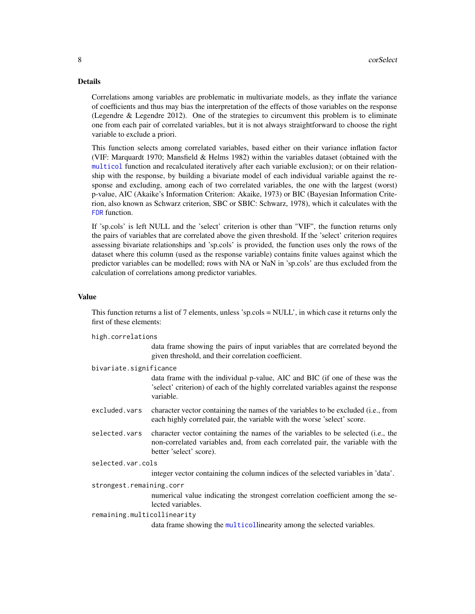# <span id="page-7-0"></span>Details

Correlations among variables are problematic in multivariate models, as they inflate the variance of coefficients and thus may bias the interpretation of the effects of those variables on the response (Legendre & Legendre 2012). One of the strategies to circumvent this problem is to eliminate one from each pair of correlated variables, but it is not always straightforward to choose the right variable to exclude a priori.

This function selects among correlated variables, based either on their variance inflation factor (VIF: Marquardt 1970; Mansfield & Helms 1982) within the variables dataset (obtained with the [multicol](#page-36-1) function and recalculated iteratively after each variable exclusion); or on their relationship with the response, by building a bivariate model of each individual variable against the response and excluding, among each of two correlated variables, the one with the largest (worst) p-value, AIC (Akaike's Information Criterion: Akaike, 1973) or BIC (Bayesian Information Criterion, also known as Schwarz criterion, SBC or SBIC: Schwarz, 1978), which it calculates with the [FDR](#page-14-1) function.

If 'sp.cols' is left NULL and the 'select' criterion is other than "VIF", the function returns only the pairs of variables that are correlated above the given threshold. If the 'select' criterion requires assessing bivariate relationships and 'sp.cols' is provided, the function uses only the rows of the dataset where this column (used as the response variable) contains finite values against which the predictor variables can be modelled; rows with NA or NaN in 'sp.cols' are thus excluded from the calculation of correlations among predictor variables.

# Value

This function returns a list of 7 elements, unless 'sp.cols = NULL', in which case it returns only the first of these elements:

high.correlations

data frame showing the pairs of input variables that are correlated beyond the given threshold, and their correlation coefficient.

bivariate.significance

data frame with the individual p-value, AIC and BIC (if one of these was the 'select' criterion) of each of the highly correlated variables against the response variable.

- excluded.vars character vector containing the names of the variables to be excluded (i.e., from each highly correlated pair, the variable with the worse 'select' score.
- selected.vars character vector containing the names of the variables to be selected (i.e., the non-correlated variables and, from each correlated pair, the variable with the better 'select' score).

selected.var.cols

integer vector containing the column indices of the selected variables in 'data'.

strongest.remaining.corr

numerical value indicating the strongest correlation coefficient among the selected variables.

remaining.multicollinearity

data frame showing the [multicol](#page-36-1)linearity among the selected variables.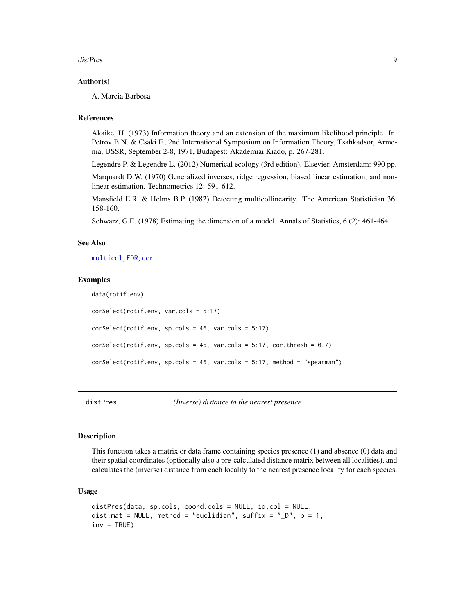#### <span id="page-8-0"></span>distPres 9

# Author(s)

A. Marcia Barbosa

# References

Akaike, H. (1973) Information theory and an extension of the maximum likelihood principle. In: Petrov B.N. & Csaki F., 2nd International Symposium on Information Theory, Tsahkadsor, Armenia, USSR, September 2-8, 1971, Budapest: Akademiai Kiado, p. 267-281.

Legendre P. & Legendre L. (2012) Numerical ecology (3rd edition). Elsevier, Amsterdam: 990 pp.

Marquardt D.W. (1970) Generalized inverses, ridge regression, biased linear estimation, and nonlinear estimation. Technometrics 12: 591-612.

Mansfield E.R. & Helms B.P. (1982) Detecting multicollinearity. The American Statistician 36: 158-160.

Schwarz, G.E. (1978) Estimating the dimension of a model. Annals of Statistics, 6 (2): 461-464.

# See Also

[multicol](#page-36-1), [FDR](#page-14-1), [cor](#page-0-0)

#### Examples

```
data(rotif.env)
corSelect(rotif.env, var.cols = 5:17)
corSelect(rotif.env, sp.cols = 46, var.cols = 5:17)
corSelect(rotif.env, sp.cols = 46, var.cols = 5:17, cor.thresh = 0.7)corSelect(rotif.env, sp.cols = 46, var.cols = 5:17, method = "spearman")
```
<span id="page-8-1"></span>

distPres *(Inverse) distance to the nearest presence*

## Description

This function takes a matrix or data frame containing species presence (1) and absence (0) data and their spatial coordinates (optionally also a pre-calculated distance matrix between all localities), and calculates the (inverse) distance from each locality to the nearest presence locality for each species.

# Usage

```
distPres(data, sp.cols, coord.cols = NULL, id.col = NULL,
dist.mat = NULL, method = "euclidian", suffix = "_D", p = 1,
inv = TRUE)
```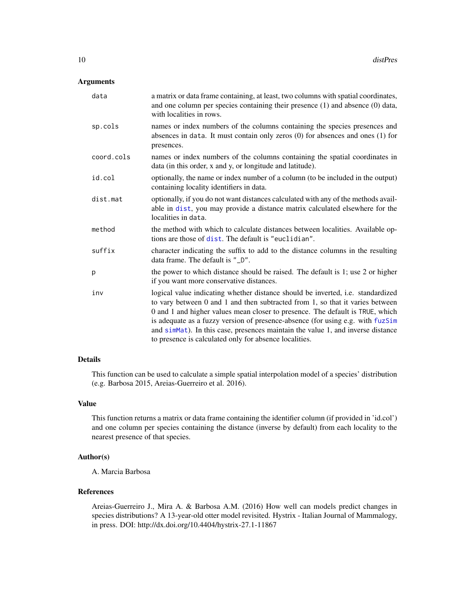# <span id="page-9-0"></span>Arguments

| data       | a matrix or data frame containing, at least, two columns with spatial coordinates,<br>and one column per species containing their presence $(1)$ and absence $(0)$ data,<br>with localities in rows.                                                                                                                                                                                                                                                                             |
|------------|----------------------------------------------------------------------------------------------------------------------------------------------------------------------------------------------------------------------------------------------------------------------------------------------------------------------------------------------------------------------------------------------------------------------------------------------------------------------------------|
| sp.cols    | names or index numbers of the columns containing the species presences and<br>absences in data. It must contain only zeros $(0)$ for absences and ones $(1)$ for<br>presences.                                                                                                                                                                                                                                                                                                   |
| coord.cols | names or index numbers of the columns containing the spatial coordinates in<br>data (in this order, x and y, or longitude and latitude).                                                                                                                                                                                                                                                                                                                                         |
| id.col     | optionally, the name or index number of a column (to be included in the output)<br>containing locality identifiers in data.                                                                                                                                                                                                                                                                                                                                                      |
| dist.mat   | optionally, if you do not want distances calculated with any of the methods avail-<br>able in dist, you may provide a distance matrix calculated elsewhere for the<br>localities in data.                                                                                                                                                                                                                                                                                        |
| method     | the method with which to calculate distances between localities. Available op-<br>tions are those of dist. The default is "euclidian".                                                                                                                                                                                                                                                                                                                                           |
| suffix     | character indicating the suffix to add to the distance columns in the resulting<br>data frame. The default is "_D".                                                                                                                                                                                                                                                                                                                                                              |
| p          | the power to which distance should be raised. The default is 1; use 2 or higher<br>if you want more conservative distances.                                                                                                                                                                                                                                                                                                                                                      |
| inv        | logical value indicating whether distance should be inverted, i.e. standardized<br>to vary between 0 and 1 and then subtracted from 1, so that it varies between<br>0 and 1 and higher values mean closer to presence. The default is TRUE, which<br>is adequate as a fuzzy version of presence-absence (for using e.g. with fuzSim<br>and simMat). In this case, presences maintain the value 1, and inverse distance<br>to presence is calculated only for absence localities. |

# Details

This function can be used to calculate a simple spatial interpolation model of a species' distribution (e.g. Barbosa 2015, Areias-Guerreiro et al. 2016).

#### Value

This function returns a matrix or data frame containing the identifier column (if provided in 'id.col') and one column per species containing the distance (inverse by default) from each locality to the nearest presence of that species.

# Author(s)

A. Marcia Barbosa

# References

Areias-Guerreiro J., Mira A. & Barbosa A.M. (2016) How well can models predict changes in species distributions? A 13-year-old otter model revisited. Hystrix - Italian Journal of Mammalogy, in press. DOI: http://dx.doi.org/10.4404/hystrix-27.1-11867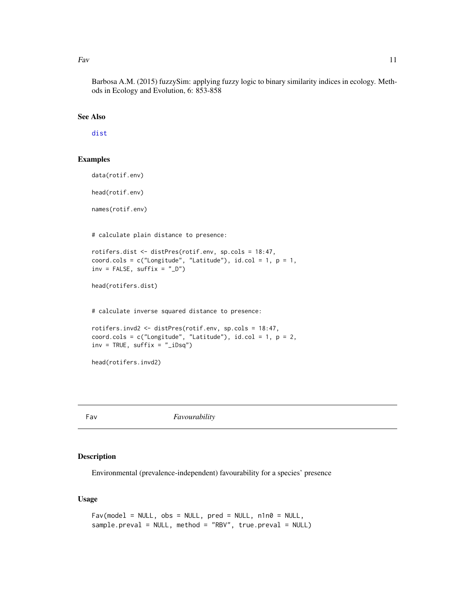<span id="page-10-0"></span>Fav  $11$ 

Barbosa A.M. (2015) fuzzySim: applying fuzzy logic to binary similarity indices in ecology. Methods in Ecology and Evolution, 6: 853-858

#### See Also

[dist](#page-0-0)

# Examples

data(rotif.env)

head(rotif.env)

names(rotif.env)

# calculate plain distance to presence:

```
rotifers.dist <- distPres(rotif.env, sp.cols = 18:47,
coord.cols = c("Longitude", "Latitude"), id,col = 1, p = 1,inv = FALSE, suffix = "D")
```
head(rotifers.dist)

# calculate inverse squared distance to presence:

```
rotifers.invd2 <- distPres(rotif.env, sp.cols = 18:47,
coord.cols = c("Longitude", "Latitude"), id,col = 1, p = 2,inv = TRUE, suffix = "_iDsq")
```
head(rotifers.invd2)

<span id="page-10-1"></span>Fav *Favourability* 

# Description

Environmental (prevalence-independent) favourability for a species' presence

# Usage

```
Fav(model = NULL, obs = NULL, pred = NULL, n1n0 = NULL,
sample.preval = NULL, method = "RBV", true.preval = NULL)
```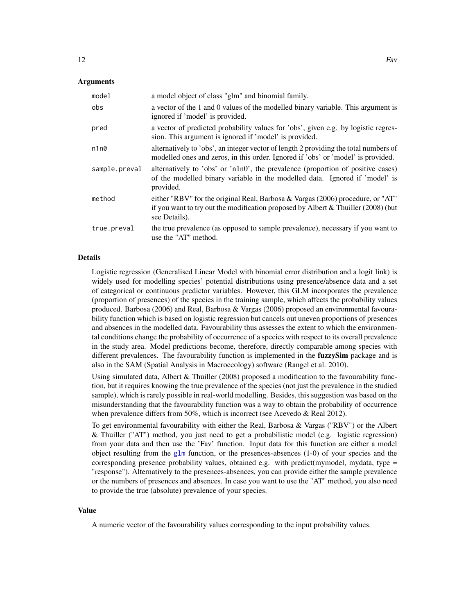# <span id="page-11-0"></span>Arguments

| model         | a model object of class "glm" and binomial family.                                                                                                                                       |
|---------------|------------------------------------------------------------------------------------------------------------------------------------------------------------------------------------------|
| obs           | a vector of the 1 and 0 values of the modelled binary variable. This argument is<br>ignored if 'model' is provided.                                                                      |
| pred          | a vector of predicted probability values for 'obs', given e.g. by logistic regres-<br>sion. This argument is ignored if 'model' is provided.                                             |
| n1n0          | alternatively to 'obs', an integer vector of length 2 providing the total numbers of<br>modelled ones and zeros, in this order. Ignored if 'obs' or 'model' is provided.                 |
| sample.preval | alternatively to 'obs' or 'n1n0', the prevalence (proportion of positive cases)<br>of the modelled binary variable in the modelled data. Ignored if 'model' is<br>provided.              |
| method        | either "RBV" for the original Real, Barbosa & Vargas $(2006)$ procedure, or "AT"<br>if you want to try out the modification proposed by Albert & Thuiller $(2008)$ (but<br>see Details). |
| true.preval   | the true prevalence (as opposed to sample prevalence), necessary if you want to<br>use the "AT" method.                                                                                  |

#### Details

Logistic regression (Generalised Linear Model with binomial error distribution and a logit link) is widely used for modelling species' potential distributions using presence/absence data and a set of categorical or continuous predictor variables. However, this GLM incorporates the prevalence (proportion of presences) of the species in the training sample, which affects the probability values produced. Barbosa (2006) and Real, Barbosa & Vargas (2006) proposed an environmental favourability function which is based on logistic regression but cancels out uneven proportions of presences and absences in the modelled data. Favourability thus assesses the extent to which the environmental conditions change the probability of occurrence of a species with respect to its overall prevalence in the study area. Model predictions become, therefore, directly comparable among species with different prevalences. The favourability function is implemented in the **fuzzySim** package and is also in the SAM (Spatial Analysis in Macroecology) software (Rangel et al. 2010).

Using simulated data, Albert & Thuiller (2008) proposed a modification to the favourability function, but it requires knowing the true prevalence of the species (not just the prevalence in the studied sample), which is rarely possible in real-world modelling. Besides, this suggestion was based on the misunderstanding that the favourability function was a way to obtain the probability of occurrence when prevalence differs from 50%, which is incorrect (see Acevedo & Real 2012).

To get environmental favourability with either the Real, Barbosa & Vargas ("RBV") or the Albert & Thuiller ("AT") method, you just need to get a probabilistic model (e.g. logistic regression) from your data and then use the 'Fav' function. Input data for this function are either a model object resulting from the [glm](#page-0-0) function, or the presences-absences  $(1-0)$  of your species and the corresponding presence probability values, obtained e.g. with predict(mymodel, mydata, type  $=$ "response"). Alternatively to the presences-absences, you can provide either the sample prevalence or the numbers of presences and absences. In case you want to use the "AT" method, you also need to provide the true (absolute) prevalence of your species.

# Value

A numeric vector of the favourability values corresponding to the input probability values.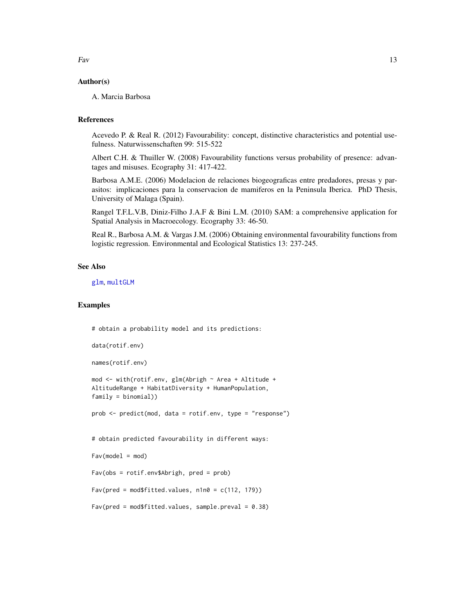# <span id="page-12-0"></span>Author(s)

A. Marcia Barbosa

# References

Acevedo P. & Real R. (2012) Favourability: concept, distinctive characteristics and potential usefulness. Naturwissenschaften 99: 515-522

Albert C.H. & Thuiller W. (2008) Favourability functions versus probability of presence: advantages and misuses. Ecography 31: 417-422.

Barbosa A.M.E. (2006) Modelacion de relaciones biogeograficas entre predadores, presas y parasitos: implicaciones para la conservacion de mamiferos en la Peninsula Iberica. PhD Thesis, University of Malaga (Spain).

Rangel T.F.L.V.B, Diniz-Filho J.A.F & Bini L.M. (2010) SAM: a comprehensive application for Spatial Analysis in Macroecology. Ecography 33: 46-50.

Real R., Barbosa A.M. & Vargas J.M. (2006) Obtaining environmental favourability functions from logistic regression. Environmental and Ecological Statistics 13: 237-245.

# See Also

[glm](#page-0-0), [multGLM](#page-33-1)

# Examples

```
# obtain a probability model and its predictions:
```

```
data(rotif.env)
```
names(rotif.env)

```
mod <- with(rotif.env, glm(Abrigh ~ Area + Altitude +
AltitudeRange + HabitatDiversity + HumanPopulation,
family = binomial))
```
prob <- predict(mod, data = rotif.env, type = "response")

# obtain predicted favourability in different ways:

```
Fav(model = mod)
```
Fav(obs = rotif.env\$Abrigh, pred = prob)

 $Fav(pred = mod$fitted.values, n1n0 = c(112, 179))$ 

```
Fav(pred = mod$fitted.values, sample.preval = 0.38)
```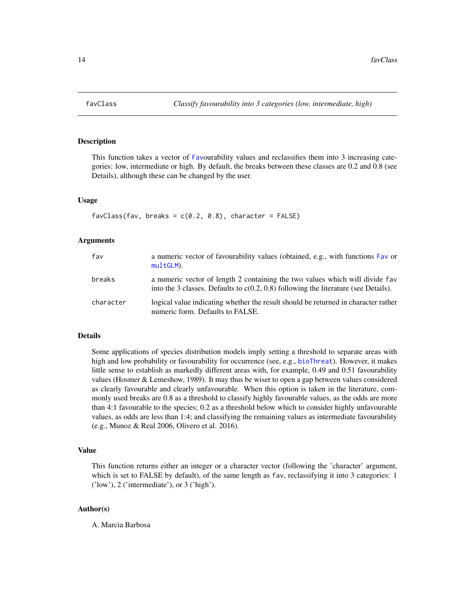# Description

This function takes a vector of [Fav](#page-10-1)ourability values and reclassifies them into 3 increasing categories: low, intermediate or high. By default, the breaks between these classes are 0.2 and 0.8 (see Details), although these can be changed by the user.

#### Usage

```
favClass(fav, breaks = c(0.2, 0.8), character = FALSE)
```
# Arguments

| fav       | a numeric vector of favourability values (obtained, e.g., with functions Fav or<br>multGLM).                                                                          |
|-----------|-----------------------------------------------------------------------------------------------------------------------------------------------------------------------|
| breaks    | a numeric vector of length 2 containing the two values which will divide fav<br>into the 3 classes. Defaults to $c(0.2, 0.8)$ following the literature (see Details). |
| character | logical value indicating whether the result should be returned in character rather<br>numeric form. Defaults to FALSE.                                                |

# Details

Some applications of species distribution models imply setting a threshold to separate areas with high and low probability or favourability for occurrence (see, e.g., [bioThreat](#page-4-1)). However, it makes little sense to establish as markedly different areas with, for example, 0.49 and 0.51 favourability values (Hosmer & Lemeshow, 1989). It may thus be wiser to open a gap between values considered as clearly favourable and clearly unfavourable. When this option is taken in the literature, commonly used breaks are 0.8 as a threshold to classify highly favourable values, as the odds are more than 4:1 favourable to the species; 0.2 as a threshold below which to consider highly unfavourable values, as odds are less than 1:4; and classifying the remaining values as intermediate favourability (e.g., Munoz & Real 2006, Olivero et al. 2016).

# Value

This function returns either an integer or a character vector (following the 'character' argument, which is set to FALSE by default), of the same length as fav, reclassifying it into 3 categories: 1 ('low'), 2 ('intermediate'), or 3 ('high').

#### Author(s)

A. Marcia Barbosa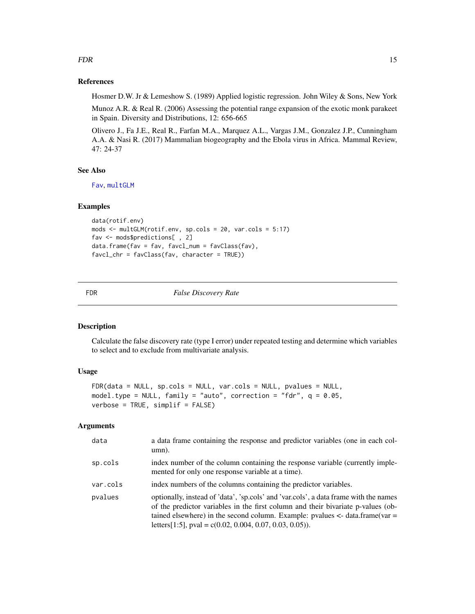# <span id="page-14-0"></span>References

Hosmer D.W. Jr & Lemeshow S. (1989) Applied logistic regression. John Wiley & Sons, New York

Munoz A.R. & Real R. (2006) Assessing the potential range expansion of the exotic monk parakeet in Spain. Diversity and Distributions, 12: 656-665

Olivero J., Fa J.E., Real R., Farfan M.A., Marquez A.L., Vargas J.M., Gonzalez J.P., Cunningham A.A. & Nasi R. (2017) Mammalian biogeography and the Ebola virus in Africa. Mammal Review, 47: 24-37

# See Also

[Fav](#page-10-1), [multGLM](#page-33-1)

#### Examples

```
data(rotif.env)
mods <- multGLM(rotif.env, sp.cols = 20, var.cols = 5:17)
fav <- mods$predictions[ , 2]
data.frame(fav = fav, favcl_num = favClass(fav),
favcl_chr = favClass(fav, character = TRUE))
```
<span id="page-14-1"></span>

FDR *False Discovery Rate*

# Description

Calculate the false discovery rate (type I error) under repeated testing and determine which variables to select and to exclude from multivariate analysis.

# Usage

```
FDR(data = NULL, sp.cols = NULL, var.cols = NULL, pvalues = NULL,
model.type = NULL, family = "auto", correction = "fdr", q = 0.05,
verbose = TRUE, simplif = FALSE)
```
# Arguments

| data     | a data frame containing the response and predictor variables (one in each col-<br>$umn$ ).                                                                                                                                                                                                                               |
|----------|--------------------------------------------------------------------------------------------------------------------------------------------------------------------------------------------------------------------------------------------------------------------------------------------------------------------------|
| sp.cols  | index number of the column containing the response variable (currently imple-<br>mented for only one response variable at a time).                                                                                                                                                                                       |
| var.cols | index numbers of the columns containing the predictor variables.                                                                                                                                                                                                                                                         |
| pvalues  | optionally, instead of 'data', 'sp.cols' and 'var.cols', a data frame with the names<br>of the predictor variables in the first column and their bivariate p-values (ob-<br>tained elsewhere) in the second column. Example: pvalues $\lt$ - data.frame(var =<br>letters[1:5], pval = c(0.02, 0.004, 0.07, 0.03, 0.05)). |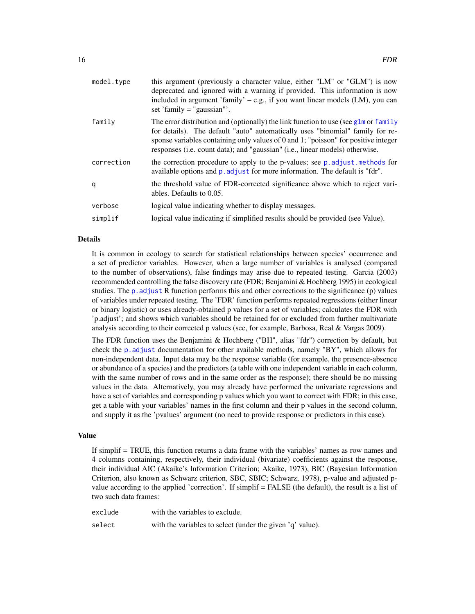<span id="page-15-0"></span>

| this argument (previously a character value, either "LM" or "GLM") is now<br>deprecated and ignored with a warning if provided. This information is now<br>included in argument 'family' – e.g., if you want linear models (LM), you can<br>set 'family $=$ "gaussian"'.                                                                       |
|------------------------------------------------------------------------------------------------------------------------------------------------------------------------------------------------------------------------------------------------------------------------------------------------------------------------------------------------|
| The error distribution and (optionally) the link function to use (see $g1m$ or $family$<br>for details). The default "auto" automatically uses "binomial" family for re-<br>sponse variables containing only values of 0 and 1; "poisson" for positive integer<br>responses (i.e. count data); and "gaussian" (i.e., linear models) otherwise. |
| the correction procedure to apply to the p-values; see p. adjust. methods for<br>available options and p. adjust for more information. The default is "fdr".                                                                                                                                                                                   |
| the threshold value of FDR-corrected significance above which to reject vari-<br>ables. Defaults to 0.05.                                                                                                                                                                                                                                      |
| logical value indicating whether to display messages.                                                                                                                                                                                                                                                                                          |
| logical value indicating if simplified results should be provided (see Value).                                                                                                                                                                                                                                                                 |
|                                                                                                                                                                                                                                                                                                                                                |

# Details

It is common in ecology to search for statistical relationships between species' occurrence and a set of predictor variables. However, when a large number of variables is analysed (compared to the number of observations), false findings may arise due to repeated testing. Garcia (2003) recommended controlling the false discovery rate (FDR; Benjamini & Hochberg 1995) in ecological studies. The p. adjust R function performs this and other corrections to the significance (p) values of variables under repeated testing. The 'FDR' function performs repeated regressions (either linear or binary logistic) or uses already-obtained p values for a set of variables; calculates the FDR with 'p.adjust'; and shows which variables should be retained for or excluded from further multivariate analysis according to their corrected p values (see, for example, Barbosa, Real & Vargas 2009).

The FDR function uses the Benjamini & Hochberg ("BH", alias "fdr") correction by default, but check the [p.adjust](#page-0-0) documentation for other available methods, namely "BY", which allows for non-independent data. Input data may be the response variable (for example, the presence-absence or abundance of a species) and the predictors (a table with one independent variable in each column, with the same number of rows and in the same order as the response); there should be no missing values in the data. Alternatively, you may already have performed the univariate regressions and have a set of variables and corresponding p values which you want to correct with FDR; in this case, get a table with your variables' names in the first column and their p values in the second column, and supply it as the 'pvalues' argument (no need to provide response or predictors in this case).

#### Value

If simplif = TRUE, this function returns a data frame with the variables' names as row names and 4 columns containing, respectively, their individual (bivariate) coefficients against the response, their individual AIC (Akaike's Information Criterion; Akaike, 1973), BIC (Bayesian Information Criterion, also known as Schwarz criterion, SBC, SBIC; Schwarz, 1978), p-value and adjusted pvalue according to the applied 'correction'. If simplif = FALSE (the default), the result is a list of two such data frames:

| exclude | with the variables to exclude.                            |
|---------|-----------------------------------------------------------|
| select  | with the variables to select (under the given 'q' value). |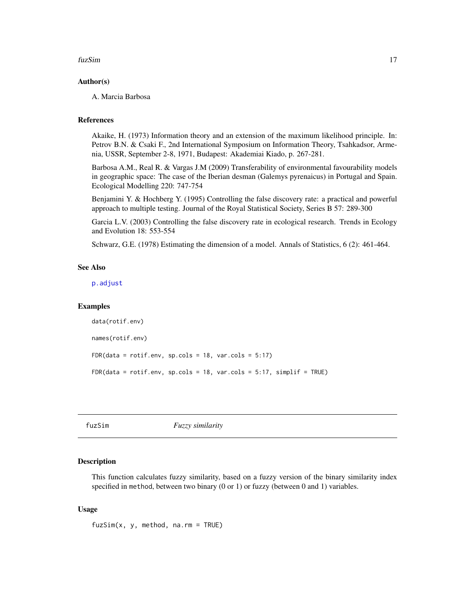#### <span id="page-16-0"></span>fuzSim 17

# Author(s)

A. Marcia Barbosa

# References

Akaike, H. (1973) Information theory and an extension of the maximum likelihood principle. In: Petrov B.N. & Csaki F., 2nd International Symposium on Information Theory, Tsahkadsor, Armenia, USSR, September 2-8, 1971, Budapest: Akademiai Kiado, p. 267-281.

Barbosa A.M., Real R. & Vargas J.M (2009) Transferability of environmental favourability models in geographic space: The case of the Iberian desman (Galemys pyrenaicus) in Portugal and Spain. Ecological Modelling 220: 747-754

Benjamini Y. & Hochberg Y. (1995) Controlling the false discovery rate: a practical and powerful approach to multiple testing. Journal of the Royal Statistical Society, Series B 57: 289-300

Garcia L.V. (2003) Controlling the false discovery rate in ecological research. Trends in Ecology and Evolution 18: 553-554

Schwarz, G.E. (1978) Estimating the dimension of a model. Annals of Statistics, 6 (2): 461-464.

# See Also

[p.adjust](#page-0-0)

# Examples

```
data(rotif.env)
names(rotif.env)
FDR(data = rotif.env, sp.cols = 18, var.cols = 5:17)FDR(data = rotif.env, sp.cols = 18, var.cols = 5:17, simplif = TRUE)
```
<span id="page-16-1"></span>fuzSim *Fuzzy similarity*

# **Description**

This function calculates fuzzy similarity, based on a fuzzy version of the binary similarity index specified in method, between two binary (0 or 1) or fuzzy (between 0 and 1) variables.

#### Usage

fuzSim(x, y, method, na.rm = TRUE)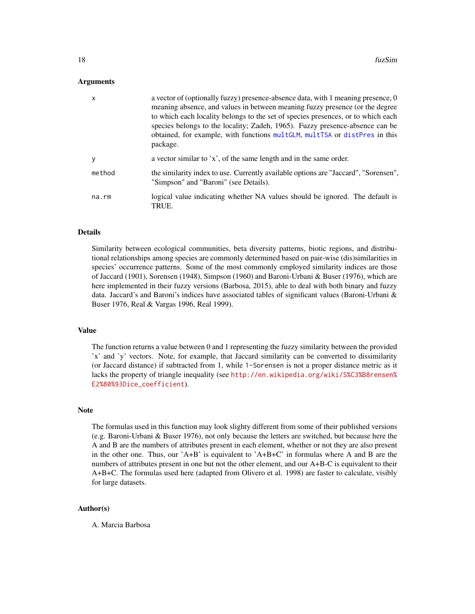# <span id="page-17-0"></span>Arguments

| X           | a vector of (optionally fuzzy) presence-absence data, with 1 meaning presence, 0<br>meaning absence, and values in between meaning fuzzy presence (or the degree<br>to which each locality belongs to the set of species presences, or to which each<br>species belongs to the locality; Zadeh, 1965). Fuzzy presence-absence can be<br>obtained, for example, with functions multGLM, multTSA or distPres in this<br>package. |
|-------------|--------------------------------------------------------------------------------------------------------------------------------------------------------------------------------------------------------------------------------------------------------------------------------------------------------------------------------------------------------------------------------------------------------------------------------|
| y           | a vector similar to 'x', of the same length and in the same order.                                                                                                                                                                                                                                                                                                                                                             |
| method      | the similarity index to use. Currently available options are "Jaccard", "Sorensen",<br>"Simpson" and "Baroni" (see Details).                                                                                                                                                                                                                                                                                                   |
| $na$ . $rm$ | logical value indicating whether NA values should be ignored. The default is<br>TRUE.                                                                                                                                                                                                                                                                                                                                          |

# Details

Similarity between ecological communities, beta diversity patterns, biotic regions, and distributional relationships among species are commonly determined based on pair-wise (dis)similarities in species' occurrence patterns. Some of the most commonly employed similarity indices are those of Jaccard (1901), Sorensen (1948), Simpson (1960) and Baroni-Urbani & Buser (1976), which are here implemented in their fuzzy versions (Barbosa, 2015), able to deal with both binary and fuzzy data. Jaccard's and Baroni's indices have associated tables of significant values (Baroni-Urbani & Buser 1976, Real & Vargas 1996, Real 1999).

#### Value

The function returns a value between 0 and 1 representing the fuzzy similarity between the provided 'x' and 'y' vectors. Note, for example, that Jaccard similarity can be converted to dissimilarity (or Jaccard distance) if subtracted from 1, while 1-Sorensen is not a proper distance metric as it lacks the property of triangle inequality (see [http://en.wikipedia.org/wiki/S%C3%B8rensen%](http://en.wikipedia.org/wiki/S%C3%B8rensen%E2%80%93Dice_coefficient) [E2%80%93Dice\\_coefficient](http://en.wikipedia.org/wiki/S%C3%B8rensen%E2%80%93Dice_coefficient)).

# **Note**

The formulas used in this function may look slighty different from some of their published versions (e.g. Baroni-Urbani & Buser 1976), not only because the letters are switched, but because here the A and B are the numbers of attributes present in each element, whether or not they are also present in the other one. Thus, our 'A+B' is equivalent to 'A+B+C' in formulas where A and B are the numbers of attributes present in one but not the other element, and our A+B-C is equivalent to their A+B+C. The formulas used here (adapted from Olivero et al. 1998) are faster to calculate, visibly for large datasets.

#### Author(s)

A. Marcia Barbosa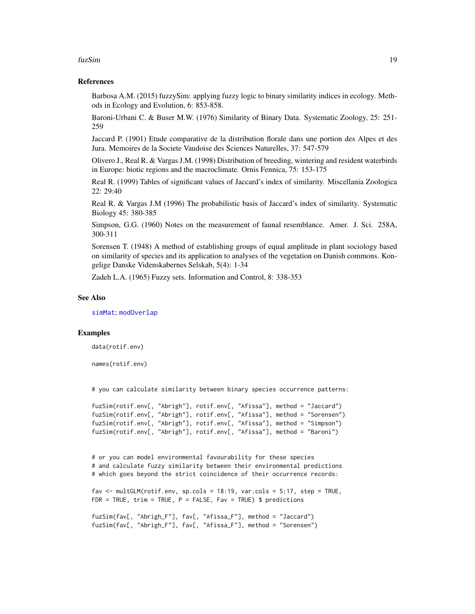#### <span id="page-18-0"></span>fuzSim 19

# References

Barbosa A.M. (2015) fuzzySim: applying fuzzy logic to binary similarity indices in ecology. Methods in Ecology and Evolution, 6: 853-858.

Baroni-Urbani C. & Buser M.W. (1976) Similarity of Binary Data. Systematic Zoology, 25: 251- 259

Jaccard P. (1901) Etude comparative de la distribution florale dans une portion des Alpes et des Jura. Memoires de la Societe Vaudoise des Sciences Naturelles, 37: 547-579

Olivero J., Real R. & Vargas J.M. (1998) Distribution of breeding, wintering and resident waterbirds in Europe: biotic regions and the macroclimate. Ornis Fennica, 75: 153-175

Real R. (1999) Tables of significant values of Jaccard's index of similarity. Miscellania Zoologica 22: 29:40

Real R. & Vargas J.M (1996) The probabilistic basis of Jaccard's index of similarity. Systematic Biology 45: 380-385

Simpson, G.G. (1960) Notes on the measurement of faunal resemblance. Amer. J. Sci. 258A, 300-311

Sorensen T. (1948) A method of establishing groups of equal amplitude in plant sociology based on similarity of species and its application to analyses of the vegetation on Danish commons. Kongelige Danske Videnskabernes Selskab, 5(4): 1-34

Zadeh L.A. (1965) Fuzzy sets. Information and Control, 8: 338-353

# See Also

[simMat](#page-51-1); [modOverlap](#page-30-1)

# Examples

data(rotif.env)

names(rotif.env)

# you can calculate similarity between binary species occurrence patterns:

```
fuzSim(rotif.env[, "Abrigh"], rotif.env[, "Afissa"], method = "Jaccard")
fuzSim(rotif.env[, "Abrigh"], rotif.env[, "Afissa"], method = "Sorensen")
fuzSim(rotif.env[, "Abrigh"], rotif.env[, "Afissa"], method = "Simpson")
fuzSim(rotif.env[, "Abrigh"], rotif.env[, "Afissa"], method = "Baroni")
```
# or you can model environmental favourability for these species # and calculate fuzzy similarity between their environmental predictions # which goes beyond the strict coincidence of their occurrence records:

```
fav \le multGLM(rotif.env, sp.cols = 18:19, var.cols = 5:17, step = TRUE,
FDR = TRUE, trim = TRUE, P = FALSE, Fav = TRUE) $ predictions
```

```
fuzSim(fav[, "Abrigh_F"], fav[, "Afissa_F"], method = "Jaccard")
fuzSim(fav[, "Abrigh_F"], fav[, "Afissa_F"], method = "Sorensen")
```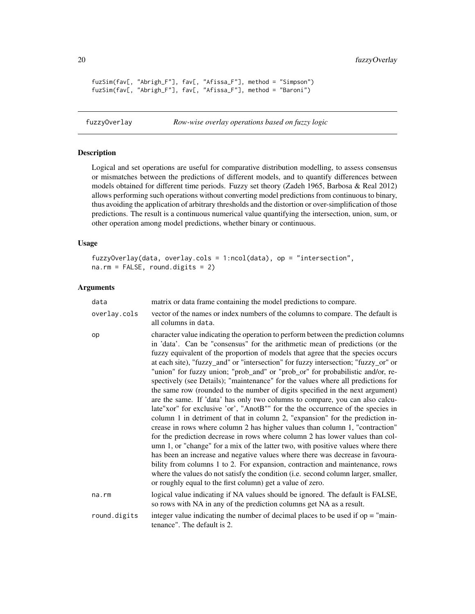```
fuzSim(fav[, "Abrigh_F"], fav[, "Afissa_F"], method = "Simpson")
fuzSim(fav[, "Abrigh_F"], fav[, "Afissa_F"], method = "Baroni")
```

```
fuzzyOverlay Row-wise overlay operations based on fuzzy logic
```
# Description

Logical and set operations are useful for comparative distribution modelling, to assess consensus or mismatches between the predictions of different models, and to quantify differences between models obtained for different time periods. Fuzzy set theory (Zadeh 1965, Barbosa & Real 2012) allows performing such operations without converting model predictions from continuous to binary, thus avoiding the application of arbitrary thresholds and the distortion or over-simplification of those predictions. The result is a continuous numerical value quantifying the intersection, union, sum, or other operation among model predictions, whether binary or continuous.

# Usage

```
fuzzyOverlay(data, overlay.cols = 1:ncol(data), op = "intersection",
na.rm = FALSE, round.digits = 2)
```
# Arguments

| data         | matrix or data frame containing the model predictions to compare.                                                                                                                                                                                                                                                                                                                                                                                                                                                                                                                                                                                                                                                                                                                                                                                                                                                                                                                                                                                                                                                                                                                                                                                                                                                                                                                                                                |
|--------------|----------------------------------------------------------------------------------------------------------------------------------------------------------------------------------------------------------------------------------------------------------------------------------------------------------------------------------------------------------------------------------------------------------------------------------------------------------------------------------------------------------------------------------------------------------------------------------------------------------------------------------------------------------------------------------------------------------------------------------------------------------------------------------------------------------------------------------------------------------------------------------------------------------------------------------------------------------------------------------------------------------------------------------------------------------------------------------------------------------------------------------------------------------------------------------------------------------------------------------------------------------------------------------------------------------------------------------------------------------------------------------------------------------------------------------|
| overlay.cols | vector of the names or index numbers of the columns to compare. The default is<br>all columns in data.                                                                                                                                                                                                                                                                                                                                                                                                                                                                                                                                                                                                                                                                                                                                                                                                                                                                                                                                                                                                                                                                                                                                                                                                                                                                                                                           |
| op           | character value indicating the operation to perform between the prediction columns<br>in 'data'. Can be "consensus" for the arithmetic mean of predictions (or the<br>fuzzy equivalent of the proportion of models that agree that the species occurs<br>at each site), "fuzzy_and" or "intersection" for fuzzy intersection; "fuzzy_or" or<br>"union" for fuzzy union; "prob_and" or "prob_or" for probabilistic and/or, re-<br>spectively (see Details); "maintenance" for the values where all predictions for<br>the same row (rounded to the number of digits specified in the next argument)<br>are the same. If 'data' has only two columns to compare, you can also calcu-<br>late"xor" for exclusive 'or', "AnotB"" for the the occurrence of the species in<br>column 1 in detriment of that in column 2, "expansion" for the prediction in-<br>crease in rows where column 2 has higher values than column 1, "contraction"<br>for the prediction decrease in rows where column 2 has lower values than col-<br>umn 1, or "change" for a mix of the latter two, with positive values where there<br>has been an increase and negative values where there was decrease in favoura-<br>bility from columns 1 to 2. For expansion, contraction and maintenance, rows<br>where the values do not satisfy the condition (i.e. second column larger, smaller,<br>or roughly equal to the first column) get a value of zero. |
| na.rm        | logical value indicating if NA values should be ignored. The default is FALSE,<br>so rows with NA in any of the prediction columns get NA as a result.                                                                                                                                                                                                                                                                                                                                                                                                                                                                                                                                                                                                                                                                                                                                                                                                                                                                                                                                                                                                                                                                                                                                                                                                                                                                           |
| round.digits | integer value indicating the number of decimal places to be used if $op = "main-$<br>tenance". The default is 2.                                                                                                                                                                                                                                                                                                                                                                                                                                                                                                                                                                                                                                                                                                                                                                                                                                                                                                                                                                                                                                                                                                                                                                                                                                                                                                                 |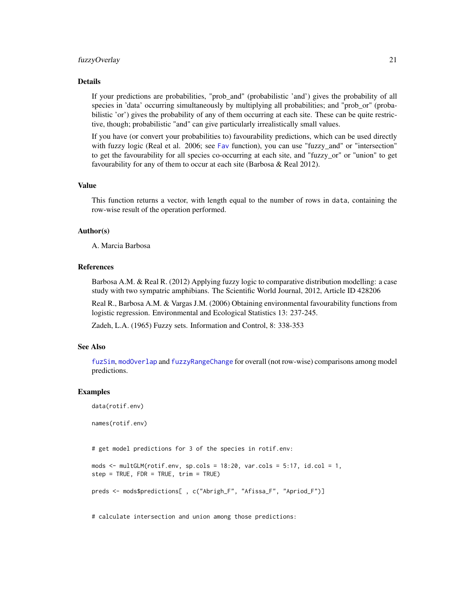#### <span id="page-20-0"></span>fuzzyOverlay 21

# Details

If your predictions are probabilities, "prob\_and" (probabilistic 'and') gives the probability of all species in 'data' occurring simultaneously by multiplying all probabilities; and "prob\_or" (probabilistic 'or') gives the probability of any of them occurring at each site. These can be quite restrictive, though; probabilistic "and" can give particularly irrealistically small values.

If you have (or convert your probabilities to) favourability predictions, which can be used directly with fuzzy logic (Real et al. 2006; see [Fav](#page-10-1) function), you can use "fuzzy\_and" or "intersection" to get the favourability for all species co-occurring at each site, and "fuzzy\_or" or "union" to get favourability for any of them to occur at each site (Barbosa & Real 2012).

#### Value

This function returns a vector, with length equal to the number of rows in data, containing the row-wise result of the operation performed.

# Author(s)

A. Marcia Barbosa

# References

Barbosa A.M. & Real R. (2012) Applying fuzzy logic to comparative distribution modelling: a case study with two sympatric amphibians. The Scientific World Journal, 2012, Article ID 428206

Real R., Barbosa A.M. & Vargas J.M. (2006) Obtaining environmental favourability functions from logistic regression. Environmental and Ecological Statistics 13: 237-245.

Zadeh, L.A. (1965) Fuzzy sets. Information and Control, 8: 338-353

# See Also

[fuzSim](#page-16-1), [modOverlap](#page-30-1) and [fuzzyRangeChange](#page-21-1) for overall (not row-wise) comparisons among model predictions.

# Examples

```
data(rotif.env)
```
names(rotif.env)

# get model predictions for 3 of the species in rotif.env:

```
mods \le multGLM(rotif.env, sp.cols = 18:20, var.cols = 5:17, id.col = 1,
step = TRUE, FDR = TRUE, trim = TRUE)
```
preds <- mods\$predictions[ , c("Abrigh\_F", "Afissa\_F", "Apriod\_F")]

# calculate intersection and union among those predictions: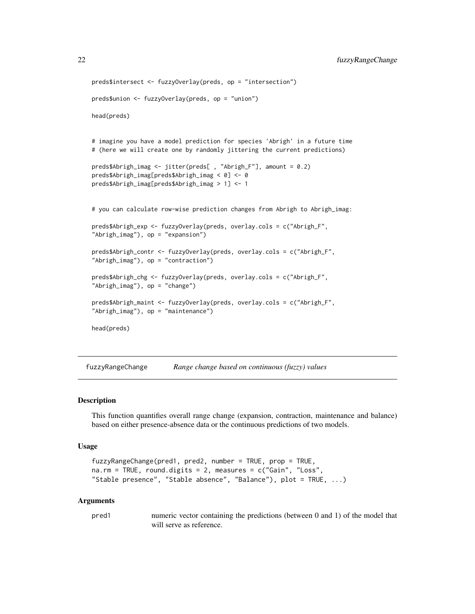```
preds$intersect <- fuzzyOverlay(preds, op = "intersection")
preds$union <- fuzzyOverlay(preds, op = "union")
head(preds)
# imagine you have a model prediction for species 'Abrigh' in a future time
# (here we will create one by randomly jittering the current predictions)
preds$Abrigh_imag <- jitter(preds[ , "Abrigh_F"], amount = 0.2)
preds$Abrigh_imag[preds$Abrigh_imag < 0] <- 0
preds$Abrigh_imag[preds$Abrigh_imag > 1] <- 1
# you can calculate row-wise prediction changes from Abrigh to Abrigh_imag:
preds$Abrigh_exp <- fuzzyOverlay(preds, overlay.cols = c("Abrigh_F",
"Abrigh_imag"), op = "expansion")
preds$Abrigh_contr <- fuzzyOverlay(preds, overlay.cols = c("Abrigh_F",
"Abrigh_imag"), op = "contraction")
preds$Abrigh_chg <- fuzzyOverlay(preds, overlay.cols = c("Abrigh_F",
"Abrigh_imag"), op = "change")
preds$Abrigh_maint <- fuzzyOverlay(preds, overlay.cols = c("Abrigh_F",
"Abrigh_imag"), op = "maintenance")
head(preds)
```
<span id="page-21-1"></span>fuzzyRangeChange *Range change based on continuous (fuzzy) values*

# Description

This function quantifies overall range change (expansion, contraction, maintenance and balance) based on either presence-absence data or the continuous predictions of two models.

# Usage

```
fuzzyRangeChange(pred1, pred2, number = TRUE, prop = TRUE,
na.rm = TRUE, round.digits = 2, measures = c("Gain", "Loss",
"Stable presence", "Stable absence", "Balance"), plot = TRUE, ...)
```
#### Arguments

pred1 numeric vector containing the predictions (between 0 and 1) of the model that will serve as reference.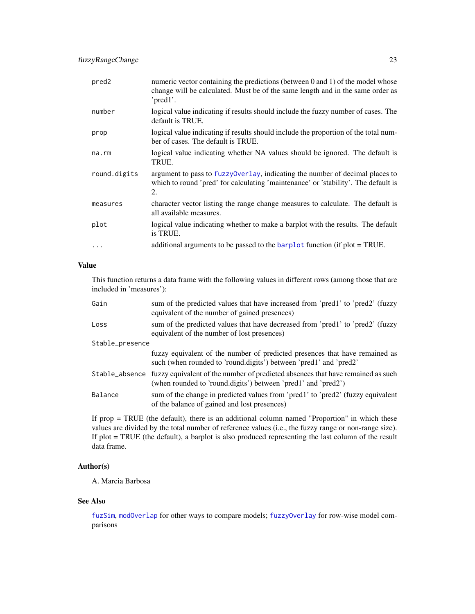<span id="page-22-0"></span>

| pred <sub>2</sub> | numeric vector containing the predictions (between $0$ and $1$ ) of the model whose<br>change will be calculated. Must be of the same length and in the same order as<br>' $pred1'.$ |
|-------------------|--------------------------------------------------------------------------------------------------------------------------------------------------------------------------------------|
| number            | logical value indicating if results should include the fuzzy number of cases. The<br>default is TRUE.                                                                                |
| prop              | logical value indicating if results should include the proportion of the total num-<br>ber of cases. The default is TRUE.                                                            |
| na.rm             | logical value indicating whether NA values should be ignored. The default is<br>TRUE.                                                                                                |
| round.digits      | argument to pass to fuzzy0verlay, indicating the number of decimal places to<br>which to round 'pred' for calculating 'maintenance' or 'stability'. The default is<br>2.             |
| measures          | character vector listing the range change measures to calculate. The default is<br>all available measures.                                                                           |
| plot              | logical value indicating whether to make a barplot with the results. The default<br>is TRUE.                                                                                         |
| $\ddots$          | additional arguments to be passed to the <b>barplot</b> function (if plot = TRUE.                                                                                                    |

# Value

This function returns a data frame with the following values in different rows (among those that are included in 'measures'):

| Gain            | sum of the predicted values that have increased from 'pred1' to 'pred2' (fuzzy<br>equivalent of the number of gained presences)                                 |  |
|-----------------|-----------------------------------------------------------------------------------------------------------------------------------------------------------------|--|
| Loss            | sum of the predicted values that have decreased from 'pred1' to 'pred2' (fuzzy<br>equivalent of the number of lost presences)                                   |  |
| Stable_presence |                                                                                                                                                                 |  |
|                 | fuzzy equivalent of the number of predicted presences that have remained as<br>such (when rounded to 'round.digits') between 'pred1' and 'pred2'                |  |
|                 | Stable_absence fuzzy equivalent of the number of predicted absences that have remained as such<br>(when rounded to 'round.digits') between 'pred1' and 'pred2') |  |
| Balance         | sum of the change in predicted values from 'pred1' to 'pred2' (fuzzy equivalent<br>of the balance of gained and lost presences)                                 |  |

If prop = TRUE (the default), there is an additional column named "Proportion" in which these values are divided by the total number of reference values (i.e., the fuzzy range or non-range size). If plot = TRUE (the default), a barplot is also produced representing the last column of the result data frame.

# Author(s)

A. Marcia Barbosa

# See Also

[fuzSim](#page-16-1), [modOverlap](#page-30-1) for other ways to compare models; [fuzzyOverlay](#page-19-1) for row-wise model comparisons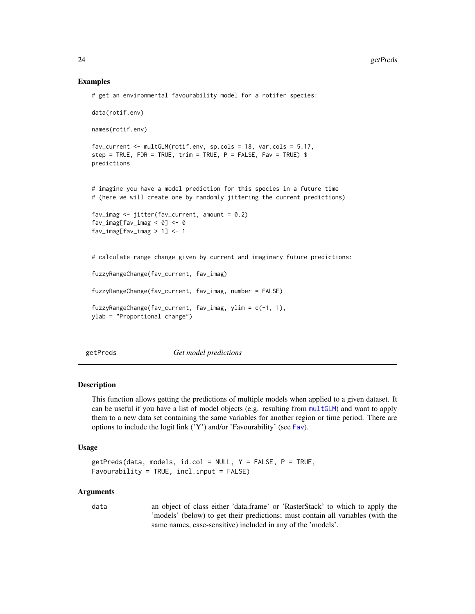# Examples

```
# get an environmental favourability model for a rotifer species:
data(rotif.env)
names(rotif.env)
fav_current <- multGLM(rotif.env, sp.cols = 18, var.cols = 5:17,
step = TRUE, FDR = TRUE, trim = TRUE, P = FALSE, Fav = TRUE) $
predictions
# imagine you have a model prediction for this species in a future time
# (here we will create one by randomly jittering the current predictions)
fav\_{imag} < -jitter(fav\_{current}, amount = 0.2)fav\_imag[fav\_imag < 0] <- 0
fav\_imag[fav\_imag > 1] \leq 1
# calculate range change given by current and imaginary future predictions:
fuzzyRangeChange(fav_current, fav_imag)
fuzzyRangeChange(fav_current, fav_imag, number = FALSE)
fuzzyRangeChange(fav_current, fav_imag, ylim = c(-1, 1),
ylab = "Proportional change")
```
getPreds *Get model predictions*

#### **Description**

This function allows getting the predictions of multiple models when applied to a given dataset. It can be useful if you have a list of model objects (e.g. resulting from [multGLM](#page-33-1)) and want to apply them to a new data set containing the same variables for another region or time period. There are options to include the logit link ('Y') and/or 'Favourability' (see [Fav](#page-10-1)).

# Usage

```
getPreds(data, models, id,col = NULL, Y = FALSE, P = TRUE,Favourability = TRUE, incl.input = FALSE)
```
#### Arguments

data an object of class either 'data.frame' or 'RasterStack' to which to apply the 'models' (below) to get their predictions; must contain all variables (with the same names, case-sensitive) included in any of the 'models'.

<span id="page-23-0"></span>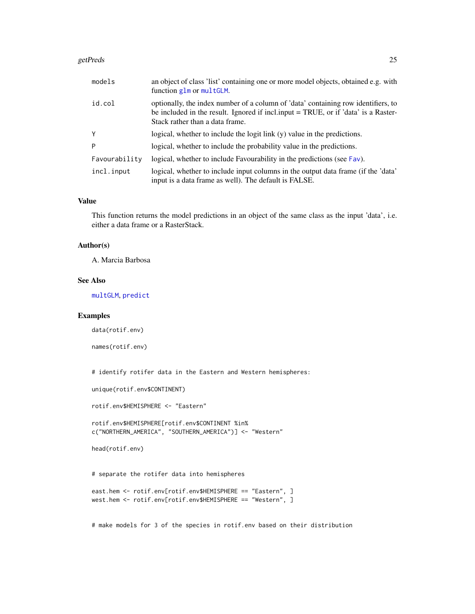#### <span id="page-24-0"></span>getPreds 25

| models        | an object of class 'list' containing one or more model objects, obtained e.g. with<br>function glm or multGLM.                                                                                                |
|---------------|---------------------------------------------------------------------------------------------------------------------------------------------------------------------------------------------------------------|
| id.col        | optionally, the index number of a column of 'data' containing row identifiers, to<br>be included in the result. Ignored if inclare input = TRUE, or if 'data' is a Raster-<br>Stack rather than a data frame. |
| Y             | logical, whether to include the logit link (y) value in the predictions.                                                                                                                                      |
| P             | logical, whether to include the probability value in the predictions.                                                                                                                                         |
| Favourability | logical, whether to include Favourability in the predictions (see Fav).                                                                                                                                       |
| incl.input    | logical, whether to include input columns in the output data frame (if the 'data'<br>input is a data frame as well). The default is FALSE.                                                                    |

# Value

This function returns the model predictions in an object of the same class as the input 'data', i.e. either a data frame or a RasterStack.

# Author(s)

A. Marcia Barbosa

# See Also

[multGLM](#page-33-1), [predict](#page-0-0)

# Examples

data(rotif.env)

names(rotif.env)

# identify rotifer data in the Eastern and Western hemispheres:

unique(rotif.env\$CONTINENT)

rotif.env\$HEMISPHERE <- "Eastern"

rotif.env\$HEMISPHERE[rotif.env\$CONTINENT %in% c("NORTHERN\_AMERICA", "SOUTHERN\_AMERICA")] <- "Western"

head(rotif.env)

# separate the rotifer data into hemispheres

```
east.hem <- rotif.env[rotif.env$HEMISPHERE == "Eastern", ]
west.hem <- rotif.env[rotif.env$HEMISPHERE == "Western", ]
```
# make models for 3 of the species in rotif.env based on their distribution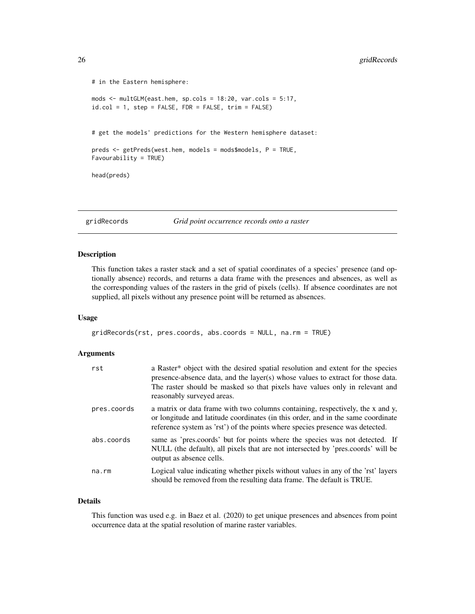```
# in the Eastern hemisphere:
mods <- multGLM(east.hem, sp.cols = 18:20, var.cols = 5:17,
id.col = 1, step = FALSE, FDR = FALSE, trim = FALSE)
# get the models' predictions for the Western hemisphere dataset:
preds <- getPreds(west.hem, models = mods$models, P = TRUE,
Favourability = TRUE)
head(preds)
```
gridRecords *Grid point occurrence records onto a raster*

# Description

This function takes a raster stack and a set of spatial coordinates of a species' presence (and optionally absence) records, and returns a data frame with the presences and absences, as well as the corresponding values of the rasters in the grid of pixels (cells). If absence coordinates are not supplied, all pixels without any presence point will be returned as absences.

# Usage

gridRecords(rst, pres.coords, abs.coords = NULL, na.rm = TRUE)

# Arguments

| rst         | a Raster* object with the desired spatial resolution and extent for the species<br>presence-absence data, and the layer(s) whose values to extract for those data.<br>The raster should be masked so that pixels have values only in relevant and<br>reasonably surveyed areas. |
|-------------|---------------------------------------------------------------------------------------------------------------------------------------------------------------------------------------------------------------------------------------------------------------------------------|
| pres.coords | a matrix or data frame with two columns containing, respectively, the x and y,<br>or longitude and latitude coordinates (in this order, and in the same coordinate<br>reference system as 'rst') of the points where species presence was detected.                             |
| abs.coords  | same as 'pres.coords' but for points where the species was not detected. If<br>NULL (the default), all pixels that are not intersected by 'pres.coords' will be<br>output as absence cells.                                                                                     |
| na.rm       | Logical value indicating whether pixels without values in any of the 'rst' layers<br>should be removed from the resulting data frame. The default is TRUE.                                                                                                                      |

# Details

This function was used e.g. in Baez et al. (2020) to get unique presences and absences from point occurrence data at the spatial resolution of marine raster variables.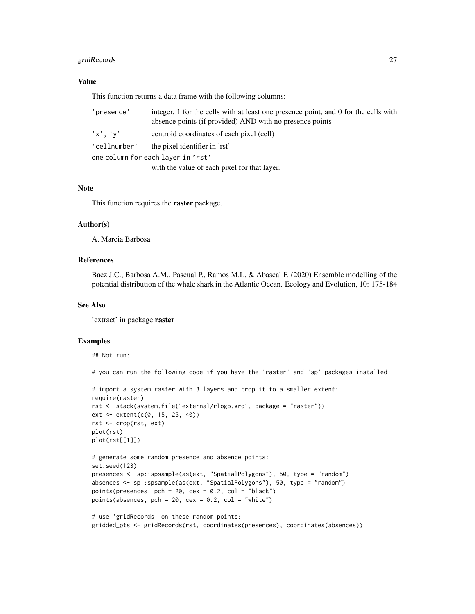# gridRecords 27

# Value

This function returns a data frame with the following columns:

| 'presence'    | integer, 1 for the cells with at least one presence point, and 0 for the cells with<br>absence points (if provided) AND with no presence points |
|---------------|-------------------------------------------------------------------------------------------------------------------------------------------------|
| $'x'$ , $'v'$ | centroid coordinates of each pixel (cell)                                                                                                       |
| 'cellnumber'  | the pixel identifier in 'rst'                                                                                                                   |
|               | one column for each laver in 'rst'                                                                                                              |
|               | with the value of each pixel for that layer.                                                                                                    |

# Note

This function requires the raster package.

#### Author(s)

A. Marcia Barbosa

# References

Baez J.C., Barbosa A.M., Pascual P., Ramos M.L. & Abascal F. (2020) Ensemble modelling of the potential distribution of the whale shark in the Atlantic Ocean. Ecology and Evolution, 10: 175-184

# See Also

'extract' in package raster

# Examples

## Not run:

# you can run the following code if you have the 'raster' and 'sp' packages installed

```
# import a system raster with 3 layers and crop it to a smaller extent:
require(raster)
rst <- stack(system.file("external/rlogo.grd", package = "raster"))
ext <- extent(c(0, 15, 25, 40))
rst <- crop(rst, ext)
plot(rst)
plot(rst[[1]])
```

```
# generate some random presence and absence points:
set.seed(123)
presences <- sp::spsample(as(ext, "SpatialPolygons"), 50, type = "random")
absences <- sp::spsample(as(ext, "SpatialPolygons"), 50, type = "random")
points(presences, pch = 20, cex = 0.2, col = "black")
points(absences, pch = 20, cex = 0.2, col = "white")
```

```
# use 'gridRecords' on these random points:
gridded_pts <- gridRecords(rst, coordinates(presences), coordinates(absences))
```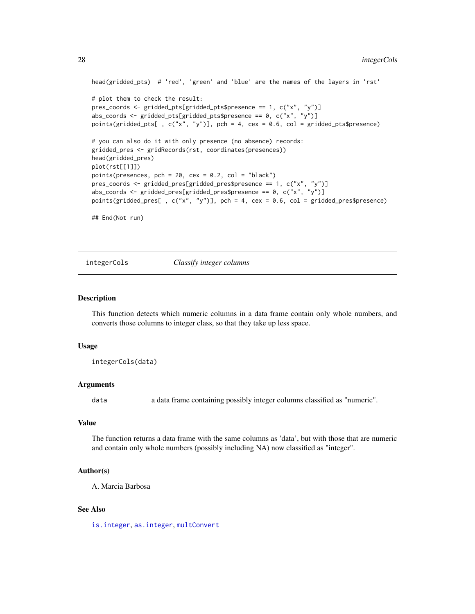```
head(gridded_pts) # 'red', 'green' and 'blue' are the names of the layers in 'rst'
# plot them to check the result:
pres_coords <- gridded_pts[gridded_pts$presence == 1, c("x", "y")]
abs_coords <- gridded_pts[gridded_pts$presence == 0, c("x", "y")]
points(gridded_pts[ , c("x", "y")], pch = 4, cex = 0.6, col = gridded_pts$presence)
# you can also do it with only presence (no absence) records:
gridded_pres <- gridRecords(rst, coordinates(presences))
head(gridded_pres)
plot(rst[[1]])
points(presences, pch = 20, cex = 0.2, col = "black")
pres_coords <- gridded_pres[gridded_pres$presence == 1, c("x", "y")]
abs_coords <- gridded_pres[gridded_pres$presence == 0, c("x", "y")]
points(gridded_pres[ , c("x", "y")], pch = 4, cex = 0.6, col = gridded_pres$presence)
## End(Not run)
```
integerCols *Classify integer columns*

# Description

This function detects which numeric columns in a data frame contain only whole numbers, and converts those columns to integer class, so that they take up less space.

#### Usage

integerCols(data)

#### Arguments

data a data frame containing possibly integer columns classified as "numeric".

#### Value

The function returns a data frame with the same columns as 'data', but with those that are numeric and contain only whole numbers (possibly including NA) now classified as "integer".

# Author(s)

A. Marcia Barbosa

# See Also

[is.integer](#page-0-0), [as.integer](#page-0-0), [multConvert](#page-32-1)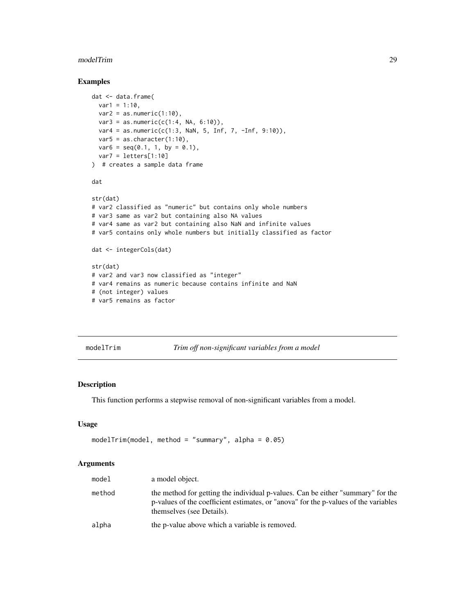#### <span id="page-28-0"></span>modelTrim 29

# Examples

```
dat <- data.frame(
  var1 = 1:10,
  var2 = as.numeric(1:10),
  var3 = as.numeric(c(1:4, NA, 6:10)),var4 = as.numeric(c(1:3, \text{NaN}, 5, \text{Inf}, 7, -Inf, 9:10)),var5 = as.character(1:10),
  var6 = seq(0.1, 1, by = 0.1),var7 = letters[1:10]
) # creates a sample data frame
dat
str(dat)
# var2 classified as "numeric" but contains only whole numbers
# var3 same as var2 but containing also NA values
# var4 same as var2 but containing also NaN and infinite values
# var5 contains only whole numbers but initially classified as factor
dat <- integerCols(dat)
str(dat)
# var2 and var3 now classified as "integer"
# var4 remains as numeric because contains infinite and NaN
# (not integer) values
# var5 remains as factor
```
<span id="page-28-1"></span>modelTrim *Trim off non-significant variables from a model*

# Description

This function performs a stepwise removal of non-significant variables from a model.

#### Usage

```
modelTrim(model1, method = "summary", alpha = 0.05)
```
#### Arguments

| model  | a model object.                                                                                                                                                                                     |
|--------|-----------------------------------------------------------------------------------------------------------------------------------------------------------------------------------------------------|
| method | the method for getting the individual p-values. Can be either "summary" for the<br>p-values of the coefficient estimates, or "anova" for the p-values of the variables<br>themselves (see Details). |
| alpha  | the p-value above which a variable is removed.                                                                                                                                                      |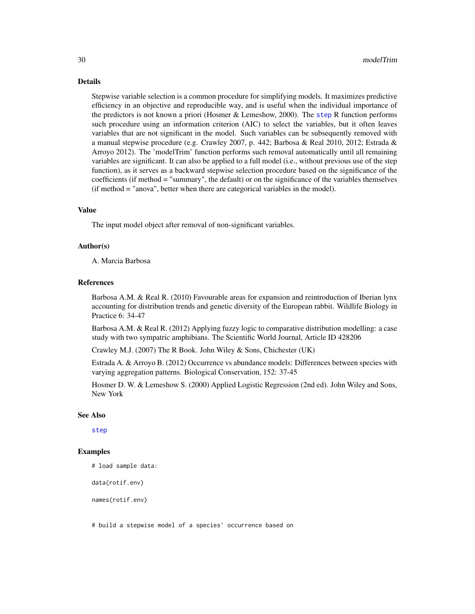<span id="page-29-0"></span>Details

Stepwise variable selection is a common procedure for simplifying models. It maximizes predictive efficiency in an objective and reproducible way, and is useful when the individual importance of the predictors is not known a priori (Hosmer & Lemeshow, 2000). The [step](#page-0-0) R function performs such procedure using an information criterion (AIC) to select the variables, but it often leaves variables that are not significant in the model. Such variables can be subsequently removed with a manual stepwise procedure (e.g. Crawley 2007, p. 442; Barbosa & Real 2010, 2012; Estrada & Arroyo 2012). The 'modelTrim' function performs such removal automatically until all remaining variables are significant. It can also be applied to a full model (i.e., without previous use of the step function), as it serves as a backward stepwise selection procedure based on the significance of the coefficients (if method = "summary", the default) or on the significance of the variables themselves (if method = "anova", better when there are categorical variables in the model).

# Value

The input model object after removal of non-significant variables.

# Author(s)

A. Marcia Barbosa

#### References

Barbosa A.M. & Real R. (2010) Favourable areas for expansion and reintroduction of Iberian lynx accounting for distribution trends and genetic diversity of the European rabbit. Wildlife Biology in Practice 6: 34-47

Barbosa A.M. & Real R. (2012) Applying fuzzy logic to comparative distribution modelling: a case study with two sympatric amphibians. The Scientific World Journal, Article ID 428206

Crawley M.J. (2007) The R Book. John Wiley & Sons, Chichester (UK)

Estrada A. & Arroyo B. (2012) Occurrence vs abundance models: Differences between species with varying aggregation patterns. Biological Conservation, 152: 37-45

Hosmer D. W. & Lemeshow S. (2000) Applied Logistic Regression (2nd ed). John Wiley and Sons, New York

# See Also

[step](#page-0-0)

# Examples

# load sample data:

data(rotif.env)

names(rotif.env)

# build a stepwise model of a species' occurrence based on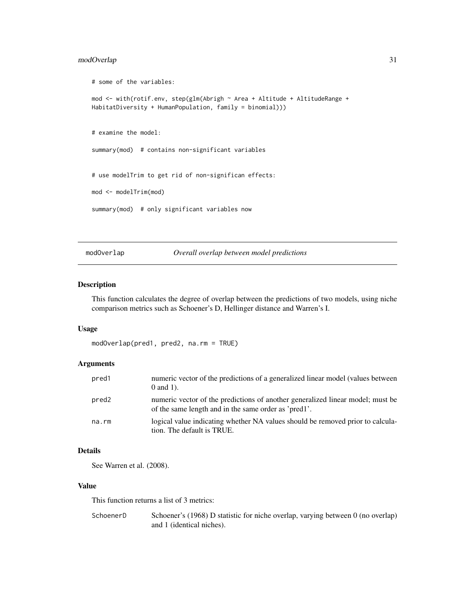# <span id="page-30-0"></span>modOverlap 31

```
# some of the variables:
mod <- with(rotif.env, step(glm(Abrigh ~ Area + Altitude + AltitudeRange +
HabitatDiversity + HumanPopulation, family = binomial)))
# examine the model:
summary(mod) # contains non-significant variables
# use modelTrim to get rid of non-significan effects:
mod <- modelTrim(mod)
summary(mod) # only significant variables now
```
# <span id="page-30-1"></span>modOverlap *Overall overlap between model predictions*

#### Description

This function calculates the degree of overlap between the predictions of two models, using niche comparison metrics such as Schoener's D, Hellinger distance and Warren's I.

# Usage

```
modOverlap(pred1, pred2, na.rm = TRUE)
```
# Arguments

| pred1 | numeric vector of the predictions of a generalized linear model (values between<br>$0$ and $1$ ).                                      |
|-------|----------------------------------------------------------------------------------------------------------------------------------------|
| pred2 | numeric vector of the predictions of another generalized linear model; must be<br>of the same length and in the same order as 'pred1'. |
| na.rm | logical value indicating whether NA values should be removed prior to calcula-<br>tion. The default is TRUE.                           |

#### Details

See Warren et al. (2008).

# Value

This function returns a list of 3 metrics:

```
SchoenerD Schoener's (1968) D statistic for niche overlap, varying between 0 (no overlap)
                  and 1 (identical niches).
```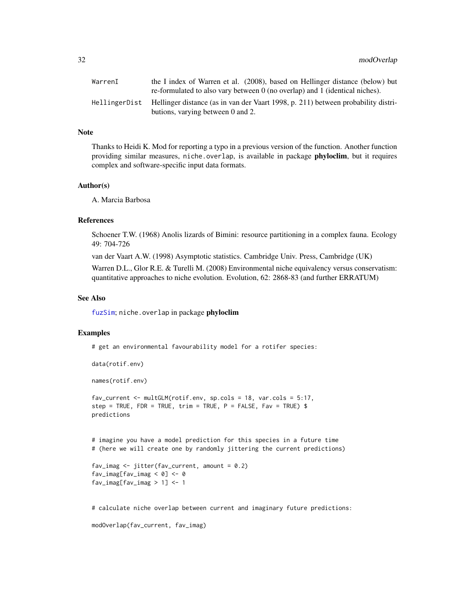<span id="page-31-0"></span>

| WarrenI | the I index of Warren et al. (2008), based on Hellinger distance (below) but                                                          |
|---------|---------------------------------------------------------------------------------------------------------------------------------------|
|         | re-formulated to also vary between 0 (no overlap) and 1 (identical niches).                                                           |
|         | Hellinger Dist Hellinger distance (as in van der Vaart 1998, p. 211) between probability distri-<br>butions, varying between 0 and 2. |

# Note

Thanks to Heidi K. Mod for reporting a typo in a previous version of the function. Another function providing similar measures, niche.overlap, is available in package **phyloclim**, but it requires complex and software-specific input data formats.

# Author(s)

A. Marcia Barbosa

#### References

Schoener T.W. (1968) Anolis lizards of Bimini: resource partitioning in a complex fauna. Ecology 49: 704-726

van der Vaart A.W. (1998) Asymptotic statistics. Cambridge Univ. Press, Cambridge (UK)

Warren D.L., Glor R.E. & Turelli M. (2008) Environmental niche equivalency versus conservatism: quantitative approaches to niche evolution. Evolution, 62: 2868-83 (and further ERRATUM)

# See Also

[fuzSim](#page-16-1); niche.overlap in package phyloclim

# Examples

# get an environmental favourability model for a rotifer species:

```
data(rotif.env)
```
names(rotif.env)

fav\_current <- multGLM(rotif.env, sp.cols = 18, var.cols = 5:17, step = TRUE, FDR = TRUE, trim = TRUE,  $P =$  FALSE, Fav = TRUE) \$ predictions

# imagine you have a model prediction for this species in a future time # (here we will create one by randomly jittering the current predictions)

```
fav_imag \le jitter(fav_current, amount = 0.2)
fav_imag[fav_imag < 0] <- 0
fav_imag[fav_imag > 1] <-1
```
# calculate niche overlap between current and imaginary future predictions:

```
modOverlap(fav_current, fav_imag)
```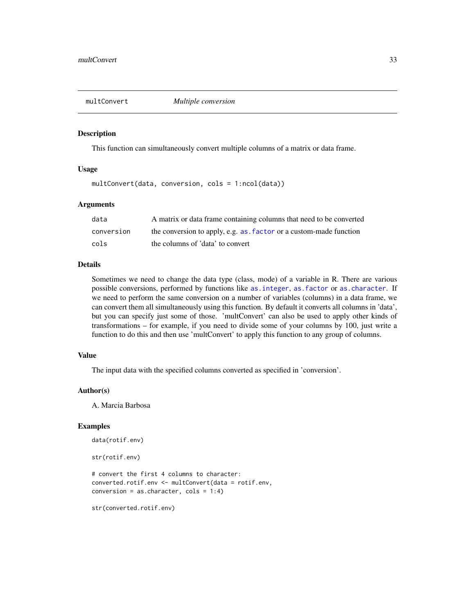<span id="page-32-1"></span><span id="page-32-0"></span>

# Description

This function can simultaneously convert multiple columns of a matrix or data frame.

# Usage

multConvert(data, conversion, cols = 1:ncol(data))

# Arguments

| data       | A matrix or data frame containing columns that need to be converted |
|------------|---------------------------------------------------------------------|
| conversion | the conversion to apply, e.g. as factor or a custom-made function   |
| cols       | the columns of 'data' to convert                                    |

# Details

Sometimes we need to change the data type (class, mode) of a variable in R. There are various possible conversions, performed by functions like [as.integer](#page-0-0), [as.factor](#page-0-0) or [as.character](#page-0-0). If we need to perform the same conversion on a number of variables (columns) in a data frame, we can convert them all simultaneously using this function. By default it converts all columns in 'data', but you can specify just some of those. 'multConvert' can also be used to apply other kinds of transformations – for example, if you need to divide some of your columns by 100, just write a function to do this and then use 'multConvert' to apply this function to any group of columns.

# Value

The input data with the specified columns converted as specified in 'conversion'.

# Author(s)

A. Marcia Barbosa

# Examples

```
data(rotif.env)
str(rotif.env)
# convert the first 4 columns to character:
converted.rotif.env <- multConvert(data = rotif.env,
conversion = as.character, cols = 1:4)
```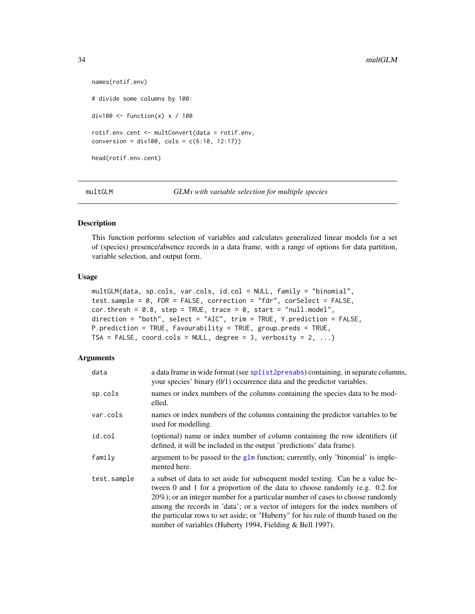```
names(rotif.env)
# divide some columns by 100:
div100 <- function(x) x / 100rotif.env.cent <- multConvert(data = rotif.env,
conversion = div100, cols = c(6:10, 12:17))
head(rotif.env.cent)
```
<span id="page-33-1"></span>multGLM *GLMs with variable selection for multiple species*

# Description

This function performs selection of variables and calculates generalized linear models for a set of (species) presence/absence records in a data frame, with a range of options for data partition, variable selection, and output form.

# Usage

```
multGLM(data, sp.cols, var.cols, id.col = NULL, family = "binomial",
test.sample = 0, FDR = FALSE, correction = "fdr", corSelect = FALSE,
cor. thresh = 0.8, step = TRUE, trace = 0, start = "null.model",
direction = "both", select = "AIC", trim = TRUE, Y.prediction = FALSE,
P.prediction = TRUE, Favourability = TRUE, group.preds = TRUE,
TSA = FALSE, coord.cols = NULL, degree = 3, verbosity = 2, ...)
```
# Arguments

| data        | a data frame in wide format (see splist2presabs) containing, in separate columns,<br>your species' binary (0/1) occurrence data and the predictor variables.                                                                                                                                                                                                                                                                                                                       |
|-------------|------------------------------------------------------------------------------------------------------------------------------------------------------------------------------------------------------------------------------------------------------------------------------------------------------------------------------------------------------------------------------------------------------------------------------------------------------------------------------------|
| sp.cols     | names or index numbers of the columns containing the species data to be mod-<br>elled.                                                                                                                                                                                                                                                                                                                                                                                             |
| var.cols    | names or index numbers of the columns containing the predictor variables to be<br>used for modelling.                                                                                                                                                                                                                                                                                                                                                                              |
| id.col      | (optional) name or index number of column containing the row identifiers (if<br>defined, it will be included in the output 'predictions' data frame).                                                                                                                                                                                                                                                                                                                              |
| family      | argument to be passed to the glm function; currently, only 'binomial' is imple-<br>mented here.                                                                                                                                                                                                                                                                                                                                                                                    |
| test.sample | a subset of data to set aside for subsequent model testing. Can be a value be-<br>tween 0 and 1 for a proportion of the data to choose randomly (e.g. 0.2 for<br>20%); or an integer number for a particular number of cases to choose randomly<br>among the records in 'data'; or a vector of integers for the index numbers of<br>the particular rows to set aside; or "Huberty" for his rule of thumb based on the<br>number of variables (Huberty 1994, Fielding & Bell 1997). |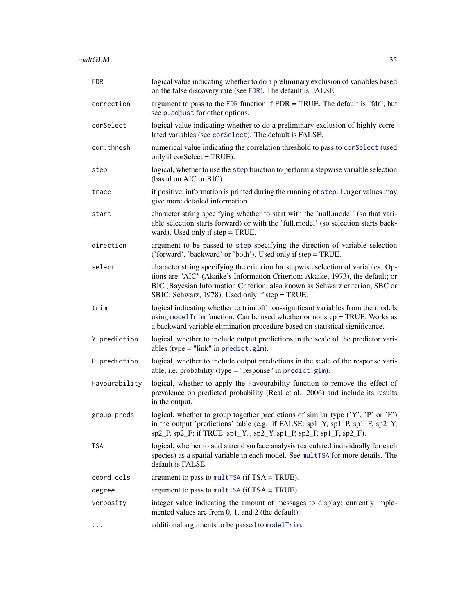<span id="page-34-0"></span>

| <b>FDR</b>    | logical value indicating whether to do a preliminary exclusion of variables based<br>on the false discovery rate (see FDR). The default is FALSE.                                                                                                                                                        |
|---------------|----------------------------------------------------------------------------------------------------------------------------------------------------------------------------------------------------------------------------------------------------------------------------------------------------------|
| correction    | argument to pass to the FDR function if $FDR = TRUE$ . The default is "fdr", but<br>see p. adjust for other options.                                                                                                                                                                                     |
| corSelect     | logical value indicating whether to do a preliminary exclusion of highly corre-<br>lated variables (see corselect). The default is FALSE.                                                                                                                                                                |
| cor.thresh    | numerical value indicating the correlation threshold to pass to corselect (used<br>only if corSelect = TRUE).                                                                                                                                                                                            |
| step          | logical, whether to use the step function to perform a stepwise variable selection<br>(based on AIC or BIC).                                                                                                                                                                                             |
| trace         | if positive, information is printed during the running of step. Larger values may<br>give more detailed information.                                                                                                                                                                                     |
| start         | character string specifying whether to start with the 'null.model' (so that vari-<br>able selection starts forward) or with the 'full.model' (so selection starts back-<br>ward). Used only if step = TRUE.                                                                                              |
| direction     | argument to be passed to step specifying the direction of variable selection<br>('forward', 'backward' or 'both'). Used only if step = TRUE.                                                                                                                                                             |
| select        | character string specifying the criterion for stepwise selection of variables. Op-<br>tions are "AIC" (Akaike's Information Criterion; Akaike, 1973), the default; or<br>BIC (Bayesian Information Criterion, also known as Schwarz criterion, SBC or<br>SBIC; Schwarz, 1978). Used only if step = TRUE. |
| trim          | logical indicating whether to trim off non-significant variables from the models<br>using modelTrim function. Can be used whether or not step = TRUE. Works as<br>a backward variable elimination procedure based on statistical significance.                                                           |
| Y.prediction  | logical, whether to include output predictions in the scale of the predictor vari-<br>ables (type = "link" in $predict.g1m)$ .                                                                                                                                                                           |
| P.prediction  | logical, whether to include output predictions in the scale of the response vari-<br>able, i.e. probability (type = "response" in $predict.glm$ ).                                                                                                                                                       |
| Favourability | logical, whether to apply the Favourability function to remove the effect of<br>prevalence on predicted probability (Real et al. 2006) and include its results<br>in the output.                                                                                                                         |
| group.preds   | logical, whether to group together predictions of similar type ('Y', 'P' or 'F')<br>in the output 'predictions' table (e.g. if FALSE: $sp1_Y$ , $sp1_P$ , $sp1_F$ , $sp2_Y$ ,<br>$sp2_P$ , $sp2_F$ ; if TRUE: $sp1_Y$ , $sp2_Y$ , $sp1_P$ , $sp2_P$ , $sp1_F$ , $sp2_F$ ).                               |
| TSA           | logical, whether to add a trend surface analysis (calculated individually for each<br>species) as a spatial variable in each model. See multTSA for more details. The<br>default is FALSE.                                                                                                               |
| coord.cols    | argument to pass to multTSA (if $TSA = TRUE$ ).                                                                                                                                                                                                                                                          |
| degree        | argument to pass to multTSA (if $TSA = TRUE$ ).                                                                                                                                                                                                                                                          |
| verbosity     | integer value indicating the amount of messages to display; currently imple-<br>mented values are from 0, 1, and 2 (the default).                                                                                                                                                                        |
| $\cdots$      | additional arguments to be passed to modelTrim.                                                                                                                                                                                                                                                          |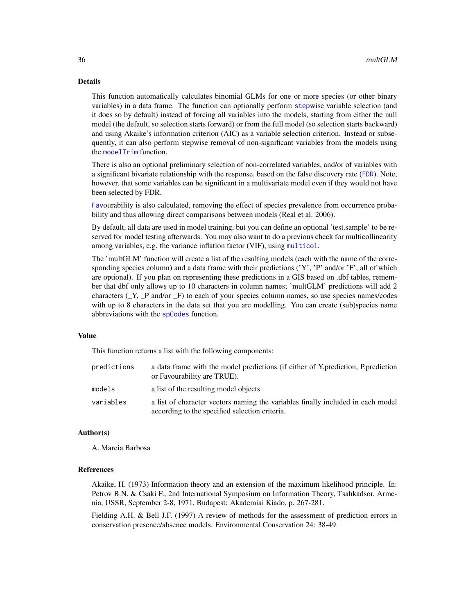# <span id="page-35-0"></span>Details

This function automatically calculates binomial GLMs for one or more species (or other binary variables) in a data frame. The function can optionally perform [step](#page-0-0)wise variable selection (and it does so by default) instead of forcing all variables into the models, starting from either the null model (the default, so selection starts forward) or from the full model (so selection starts backward) and using Akaike's information criterion (AIC) as a variable selection criterion. Instead or subsequently, it can also perform stepwise removal of non-significant variables from the models using the [modelTrim](#page-28-1) function.

There is also an optional preliminary selection of non-correlated variables, and/or of variables with a significant bivariate relationship with the response, based on the false discovery rate ([FDR](#page-14-1)). Note, however, that some variables can be significant in a multivariate model even if they would not have been selected by FDR.

[Fav](#page-10-1)ourability is also calculated, removing the effect of species prevalence from occurrence probability and thus allowing direct comparisons between models (Real et al. 2006).

By default, all data are used in model training, but you can define an optional 'test.sample' to be reserved for model testing afterwards. You may also want to do a previous check for multicollinearity among variables, e.g. the variance inflation factor (VIF), using [multicol](#page-36-1).

The 'multGLM' function will create a list of the resulting models (each with the name of the corresponding species column) and a data frame with their predictions  $(Y, P')$  and/or  $F'$ , all of which are optional). If you plan on representing these predictions in a GIS based on .dbf tables, remember that dbf only allows up to 10 characters in column names; 'multGLM' predictions will add 2 characters  $(Y, P \text{ and/or } F)$  to each of your species column names, so use species names/codes with up to 8 characters in the data set that you are modelling. You can create (sub)species name abbreviations with the [spCodes](#page-53-1) function.

# Value

This function returns a list with the following components:

| predictions | a data frame with the model predictions (if either of Y, prediction, P, prediction<br>or Favourability are TRUE).                 |
|-------------|-----------------------------------------------------------------------------------------------------------------------------------|
| models      | a list of the resulting model objects.                                                                                            |
| variables   | a list of character vectors naming the variables finally included in each model<br>according to the specified selection criteria. |

#### Author(s)

A. Marcia Barbosa

#### References

Akaike, H. (1973) Information theory and an extension of the maximum likelihood principle. In: Petrov B.N. & Csaki F., 2nd International Symposium on Information Theory, Tsahkadsor, Armenia, USSR, September 2-8, 1971, Budapest: Akademiai Kiado, p. 267-281.

Fielding A.H. & Bell J.F. (1997) A review of methods for the assessment of prediction errors in conservation presence/absence models. Environmental Conservation 24: 38-49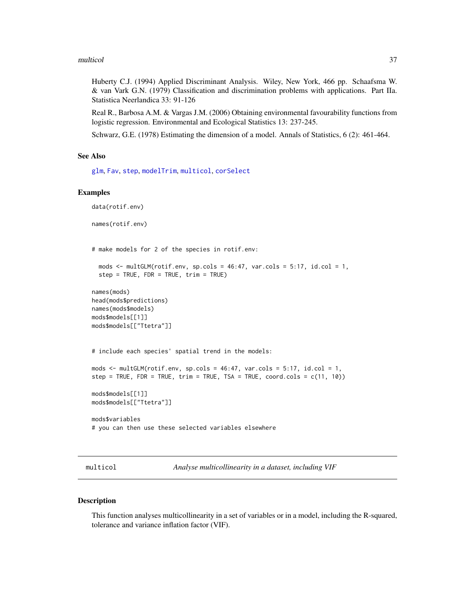#### <span id="page-36-0"></span>multicol 37

Huberty C.J. (1994) Applied Discriminant Analysis. Wiley, New York, 466 pp. Schaafsma W. & van Vark G.N. (1979) Classification and discrimination problems with applications. Part IIa. Statistica Neerlandica 33: 91-126

Real R., Barbosa A.M. & Vargas J.M. (2006) Obtaining environmental favourability functions from logistic regression. Environmental and Ecological Statistics 13: 237-245.

Schwarz, G.E. (1978) Estimating the dimension of a model. Annals of Statistics, 6 (2): 461-464.

# See Also

[glm](#page-0-0), [Fav](#page-10-1), [step](#page-0-0), [modelTrim](#page-28-1), [multicol](#page-36-1), [corSelect](#page-6-1)

# Examples

```
data(rotif.env)
names(rotif.env)
# make models for 2 of the species in rotif.env:
  mods \le multGLM(rotif.env, sp.cols = 46:47, var.cols = 5:17, id.col = 1,
  step = TRUE, FDR = TRUE, trim = TRUE)
names(mods)
head(mods$predictions)
names(mods$models)
mods$models[[1]]
mods$models[["Ttetra"]]
# include each species' spatial trend in the models:
mods \le multGLM(rotif.env, sp.cols = 46:47, var.cols = 5:17, id.col = 1,
step = TRUE, FDR = TRUE, trim = TRUE, TSA = TRUE, coord.cols = c(11, 10))
mods$models[[1]]
mods$models[["Ttetra"]]
mods$variables
# you can then use these selected variables elsewhere
```
<span id="page-36-1"></span>multicol *Analyse multicollinearity in a dataset, including VIF*

# Description

This function analyses multicollinearity in a set of variables or in a model, including the R-squared, tolerance and variance inflation factor (VIF).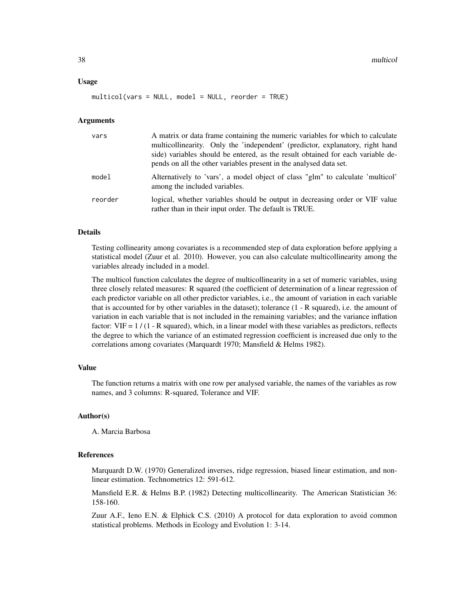#### Usage

multicol(vars = NULL, model = NULL, reorder = TRUE)

#### Arguments

| vars    | A matrix or data frame containing the numeric variables for which to calculate<br>multicollinearity. Only the 'independent' (predictor, explanatory, right hand<br>side) variables should be entered, as the result obtained for each variable de-<br>pends on all the other variables present in the analysed data set. |
|---------|--------------------------------------------------------------------------------------------------------------------------------------------------------------------------------------------------------------------------------------------------------------------------------------------------------------------------|
| model   | Alternatively to 'vars', a model object of class "glm" to calculate 'multicol'<br>among the included variables.                                                                                                                                                                                                          |
| reorder | logical, whether variables should be output in decreasing order or VIF value<br>rather than in their input order. The default is TRUE.                                                                                                                                                                                   |

#### Details

Testing collinearity among covariates is a recommended step of data exploration before applying a statistical model (Zuur et al. 2010). However, you can also calculate multicollinearity among the variables already included in a model.

The multicol function calculates the degree of multicollinearity in a set of numeric variables, using three closely related measures: R squared (the coefficient of determination of a linear regression of each predictor variable on all other predictor variables, i.e., the amount of variation in each variable that is accounted for by other variables in the dataset); tolerance (1 - R squared), i.e. the amount of variation in each variable that is not included in the remaining variables; and the variance inflation factor:  $VIF = 1 / (1 - R$  squared), which, in a linear model with these variables as predictors, reflects the degree to which the variance of an estimated regression coefficient is increased due only to the correlations among covariates (Marquardt 1970; Mansfield & Helms 1982).

#### Value

The function returns a matrix with one row per analysed variable, the names of the variables as row names, and 3 columns: R-squared, Tolerance and VIF.

# Author(s)

A. Marcia Barbosa

#### References

Marquardt D.W. (1970) Generalized inverses, ridge regression, biased linear estimation, and nonlinear estimation. Technometrics 12: 591-612.

Mansfield E.R. & Helms B.P. (1982) Detecting multicollinearity. The American Statistician 36: 158-160.

Zuur A.F., Ieno E.N. & Elphick C.S. (2010) A protocol for data exploration to avoid common statistical problems. Methods in Ecology and Evolution 1: 3-14.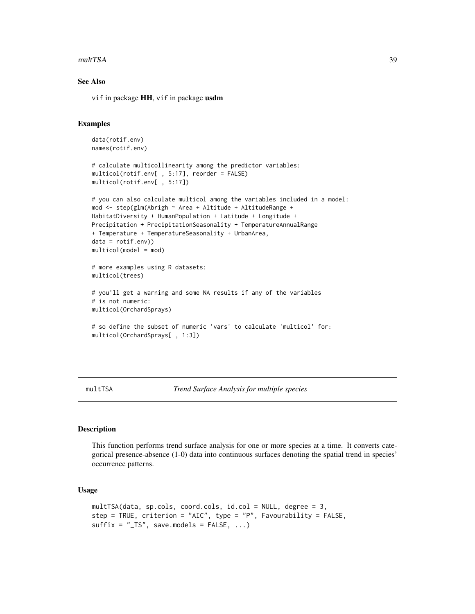#### <span id="page-38-0"></span>multTSA 39

# See Also

vif in package HH, vif in package usdm

# Examples

```
data(rotif.env)
names(rotif.env)
# calculate multicollinearity among the predictor variables:
multicol(rotif.env[ , 5:17], reorder = FALSE)
multicol(rotif.env[ , 5:17])
# you can also calculate multicol among the variables included in a model:
mod <- step(glm(Abrigh ~ Area + Altitude + AltitudeRange +
HabitatDiversity + HumanPopulation + Latitude + Longitude +
Precipitation + PrecipitationSeasonality + TemperatureAnnualRange
+ Temperature + TemperatureSeasonality + UrbanArea,
data = rotif.env))
multicol(model = mod)
# more examples using R datasets:
multicol(trees)
# you'll get a warning and some NA results if any of the variables
# is not numeric:
multicol(OrchardSprays)
# so define the subset of numeric 'vars' to calculate 'multicol' for:
multicol(OrchardSprays[ , 1:3])
```
<span id="page-38-1"></span>multTSA *Trend Surface Analysis for multiple species*

# Description

This function performs trend surface analysis for one or more species at a time. It converts categorical presence-absence (1-0) data into continuous surfaces denoting the spatial trend in species' occurrence patterns.

# Usage

```
multTSA(data, sp.cols, coord.cols, id.col = NULL, degree = 3,
step = TRUE, criterion = "AIC", type = "P", Favourability = FALSE,
sufficient = "TS", save models = FALSE, ...)
```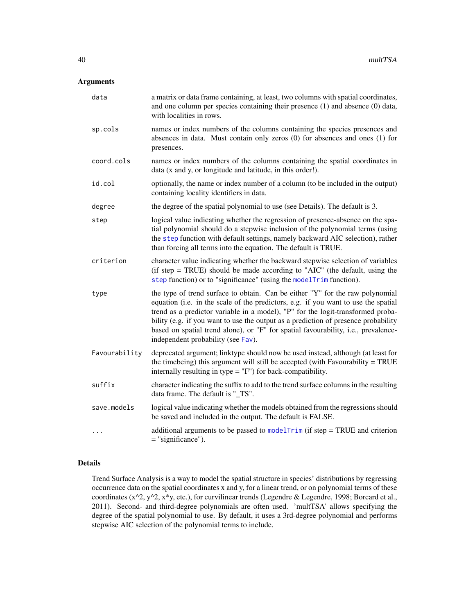# <span id="page-39-0"></span>Arguments

| data          | a matrix or data frame containing, at least, two columns with spatial coordinates,<br>and one column per species containing their presence $(1)$ and absence $(0)$ data,<br>with localities in rows.                                                                                                                                                                                                                                                                     |
|---------------|--------------------------------------------------------------------------------------------------------------------------------------------------------------------------------------------------------------------------------------------------------------------------------------------------------------------------------------------------------------------------------------------------------------------------------------------------------------------------|
| sp.cols       | names or index numbers of the columns containing the species presences and<br>absences in data. Must contain only zeros (0) for absences and ones (1) for<br>presences.                                                                                                                                                                                                                                                                                                  |
| coord.cols    | names or index numbers of the columns containing the spatial coordinates in<br>data (x and y, or longitude and latitude, in this order!).                                                                                                                                                                                                                                                                                                                                |
| id.col        | optionally, the name or index number of a column (to be included in the output)<br>containing locality identifiers in data.                                                                                                                                                                                                                                                                                                                                              |
| degree        | the degree of the spatial polynomial to use (see Details). The default is 3.                                                                                                                                                                                                                                                                                                                                                                                             |
| step          | logical value indicating whether the regression of presence-absence on the spa-<br>tial polynomial should do a stepwise inclusion of the polynomial terms (using<br>the step function with default settings, namely backward AIC selection), rather<br>than forcing all terms into the equation. The default is TRUE.                                                                                                                                                    |
| criterion     | character value indicating whether the backward stepwise selection of variables<br>(if step = TRUE) should be made according to "AIC" (the default, using the<br>step function) or to "significance" (using the modelTrim function).                                                                                                                                                                                                                                     |
| type          | the type of trend surface to obtain. Can be either "Y" for the raw polynomial<br>equation (i.e. in the scale of the predictors, e.g. if you want to use the spatial<br>trend as a predictor variable in a model), "P" for the logit-transformed proba-<br>bility (e.g. if you want to use the output as a prediction of presence probability<br>based on spatial trend alone), or "F" for spatial favourability, i.e., prevalence-<br>independent probability (see Fav). |
| Favourability | deprecated argument; linktype should now be used instead, although (at least for<br>the timebeing) this argument will still be accepted (with Favourability = TRUE<br>internally resulting in type $=$ "F") for back-compatibility.                                                                                                                                                                                                                                      |
| suffix        | character indicating the suffix to add to the trend surface columns in the resulting<br>data frame. The default is "_TS".                                                                                                                                                                                                                                                                                                                                                |
| save.models   | logical value indicating whether the models obtained from the regressions should<br>be saved and included in the output. The default is FALSE.                                                                                                                                                                                                                                                                                                                           |
| .             | additional arguments to be passed to model $Trim$ (if step = TRUE and criterion<br>$=$ "significance").                                                                                                                                                                                                                                                                                                                                                                  |

# Details

Trend Surface Analysis is a way to model the spatial structure in species' distributions by regressing occurrence data on the spatial coordinates x and y, for a linear trend, or on polynomial terms of these coordinates ( $x^2$ ,  $y^2$ ,  $x^*y$ , etc.), for curvilinear trends (Legendre & Legendre, 1998; Borcard et al., 2011). Second- and third-degree polynomials are often used. 'multTSA' allows specifying the degree of the spatial polynomial to use. By default, it uses a 3rd-degree polynomial and performs stepwise AIC selection of the polynomial terms to include.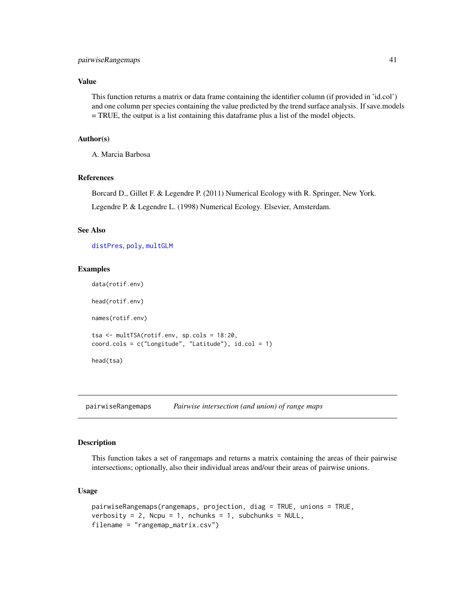# <span id="page-40-0"></span>pairwiseRangemaps 41

# Value

This function returns a matrix or data frame containing the identifier column (if provided in 'id.col') and one column per species containing the value predicted by the trend surface analysis. If save.models = TRUE, the output is a list containing this dataframe plus a list of the model objects.

# Author(s)

A. Marcia Barbosa

# References

Borcard D., Gillet F. & Legendre P. (2011) Numerical Ecology with R. Springer, New York.

Legendre P. & Legendre L. (1998) Numerical Ecology. Elsevier, Amsterdam.

# See Also

[distPres](#page-8-1), [poly](#page-0-0), [multGLM](#page-33-1)

# Examples

```
data(rotif.env)
head(rotif.env)
names(rotif.env)
tsa <- multTSA(rotif.env, sp.cols = 18:20,
coord.cols = c("Longitude", "Latitude"), id.col = 1)
head(tsa)
```
<span id="page-40-1"></span>pairwiseRangemaps *Pairwise intersection (and union) of range maps*

# Description

This function takes a set of rangemaps and returns a matrix containing the areas of their pairwise intersections; optionally, also their individual areas and/our their areas of pairwise unions.

#### Usage

```
pairwiseRangemaps(rangemaps, projection, diag = TRUE, unions = TRUE,
verbosity = 2, Ncpu = 1, nchunks = 1, subchunks = NULL,
filename = "rangemap_matrix.csv")
```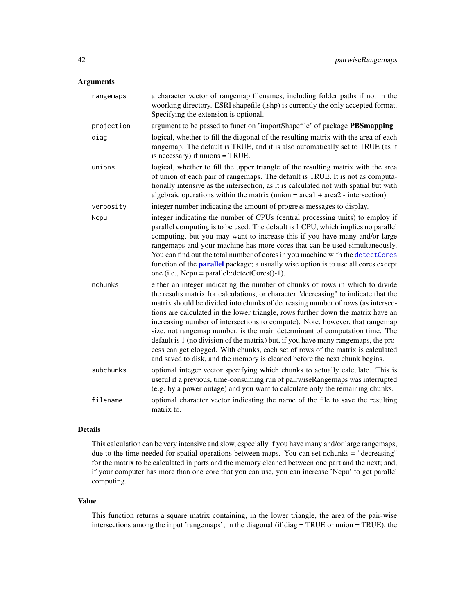# <span id="page-41-0"></span>Arguments

| rangemaps  | a character vector of rangemap filenames, including folder paths if not in the<br>woorking directory. ESRI shapefile (.shp) is currently the only accepted format.<br>Specifying the extension is optional.                                                                                                                                                                                                                                                                                                                                                                                                                                                                                                                                                      |
|------------|------------------------------------------------------------------------------------------------------------------------------------------------------------------------------------------------------------------------------------------------------------------------------------------------------------------------------------------------------------------------------------------------------------------------------------------------------------------------------------------------------------------------------------------------------------------------------------------------------------------------------------------------------------------------------------------------------------------------------------------------------------------|
| projection | argument to be passed to function 'importShapefile' of package PBSmapping                                                                                                                                                                                                                                                                                                                                                                                                                                                                                                                                                                                                                                                                                        |
| diag       | logical, whether to fill the diagonal of the resulting matrix with the area of each<br>rangemap. The default is TRUE, and it is also automatically set to TRUE (as it<br>is necessary) if unions $=$ TRUE.                                                                                                                                                                                                                                                                                                                                                                                                                                                                                                                                                       |
| unions     | logical, whether to fill the upper triangle of the resulting matrix with the area<br>of union of each pair of rangemaps. The default is TRUE. It is not as computa-<br>tionally intensive as the intersection, as it is calculated not with spatial but with<br>algebraic operations within the matrix (union $=$ area $1 + \text{area2}$ - intersection).                                                                                                                                                                                                                                                                                                                                                                                                       |
| verbosity  | integer number indicating the amount of progress messages to display.                                                                                                                                                                                                                                                                                                                                                                                                                                                                                                                                                                                                                                                                                            |
| Ncpu       | integer indicating the number of CPUs (central processing units) to employ if<br>parallel computing is to be used. The default is 1 CPU, which implies no parallel<br>computing, but you may want to increase this if you have many and/or large<br>rangemaps and your machine has more cores that can be used simultaneously.<br>You can find out the total number of cores in you machine with the detectCores<br>function of the <b>parallel</b> package; a usually wise option is to use all cores except<br>one (i.e., Ncpu = parallel:: $detectCores() - 1$ ).                                                                                                                                                                                             |
| nchunks    | either an integer indicating the number of chunks of rows in which to divide<br>the results matrix for calculations, or character "decreasing" to indicate that the<br>matrix should be divided into chunks of decreasing number of rows (as intersec-<br>tions are calculated in the lower triangle, rows further down the matrix have an<br>increasing number of intersections to compute). Note, however, that rangemap<br>size, not rangemap number, is the main determinant of computation time. The<br>default is 1 (no division of the matrix) but, if you have many rangemaps, the pro-<br>cess can get clogged. With chunks, each set of rows of the matrix is calculated<br>and saved to disk, and the memory is cleaned before the next chunk begins. |
| subchunks  | optional integer vector specifying which chunks to actually calculate. This is<br>useful if a previous, time-consuming run of pairwiseRangemaps was interrupted<br>(e.g. by a power outage) and you want to calculate only the remaining chunks.                                                                                                                                                                                                                                                                                                                                                                                                                                                                                                                 |
| filename   | optional character vector indicating the name of the file to save the resulting<br>matrix to.                                                                                                                                                                                                                                                                                                                                                                                                                                                                                                                                                                                                                                                                    |

# Details

This calculation can be very intensive and slow, especially if you have many and/or large rangemaps, due to the time needed for spatial operations between maps. You can set nchunks = "decreasing" for the matrix to be calculated in parts and the memory cleaned between one part and the next; and, if your computer has more than one core that you can use, you can increase 'Ncpu' to get parallel computing.

# Value

This function returns a square matrix containing, in the lower triangle, the area of the pair-wise intersections among the input 'rangemaps'; in the diagonal (if diag = TRUE or union = TRUE), the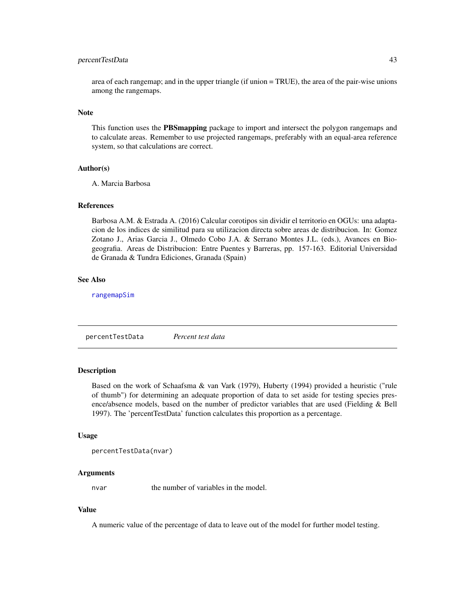# <span id="page-42-0"></span>percentTestData 43

area of each rangemap; and in the upper triangle (if union = TRUE), the area of the pair-wise unions among the rangemaps.

#### **Note**

This function uses the PBSmapping package to import and intersect the polygon rangemaps and to calculate areas. Remember to use projected rangemaps, preferably with an equal-area reference system, so that calculations are correct.

# Author(s)

A. Marcia Barbosa

# References

Barbosa A.M. & Estrada A. (2016) Calcular corotipos sin dividir el territorio en OGUs: una adaptacion de los indices de similitud para su utilizacion directa sobre areas de distribucion. In: Gomez Zotano J., Arias Garcia J., Olmedo Cobo J.A. & Serrano Montes J.L. (eds.), Avances en Biogeografia. Areas de Distribucion: Entre Puentes y Barreras, pp. 157-163. Editorial Universidad de Granada & Tundra Ediciones, Granada (Spain)

# See Also

[rangemapSim](#page-43-1)

percentTestData *Percent test data*

# Description

Based on the work of Schaafsma & van Vark (1979), Huberty (1994) provided a heuristic ("rule of thumb") for determining an adequate proportion of data to set aside for testing species presence/absence models, based on the number of predictor variables that are used (Fielding & Bell 1997). The 'percentTestData' function calculates this proportion as a percentage.

#### Usage

```
percentTestData(nvar)
```
#### Arguments

nvar the number of variables in the model.

# Value

A numeric value of the percentage of data to leave out of the model for further model testing.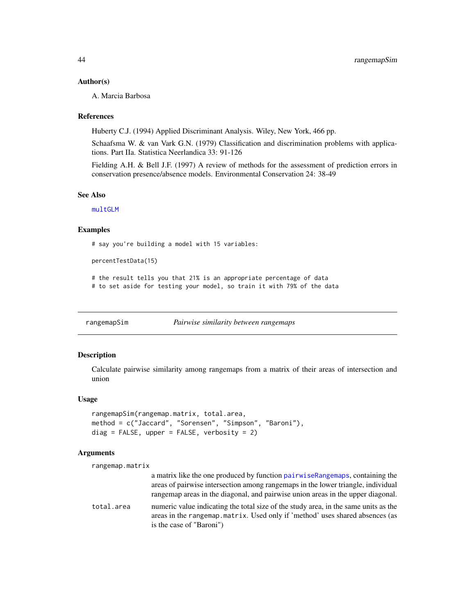### <span id="page-43-0"></span>Author(s)

A. Marcia Barbosa

#### References

Huberty C.J. (1994) Applied Discriminant Analysis. Wiley, New York, 466 pp.

Schaafsma W. & van Vark G.N. (1979) Classification and discrimination problems with applications. Part IIa. Statistica Neerlandica 33: 91-126

Fielding A.H. & Bell J.F. (1997) A review of methods for the assessment of prediction errors in conservation presence/absence models. Environmental Conservation 24: 38-49

#### See Also

[multGLM](#page-33-1)

### Examples

# say you're building a model with 15 variables:

```
percentTestData(15)
```
# the result tells you that 21% is an appropriate percentage of data # to set aside for testing your model, so train it with 79% of the data

<span id="page-43-1"></span>rangemapSim *Pairwise similarity between rangemaps*

# Description

Calculate pairwise similarity among rangemaps from a matrix of their areas of intersection and union

# Usage

```
rangemapSim(rangemap.matrix, total.area,
method = c("Jaccard", "Sorensen", "Simpson", "Baroni"),
diag = FALSE, upper = FALSE, verbosity = 2)
```
# **Arguments**

rangemap.matrix

a matrix like the one produced by function [pairwiseRangemaps](#page-40-1), containing the areas of pairwise intersection among rangemaps in the lower triangle, individual rangemap areas in the diagonal, and pairwise union areas in the upper diagonal.

total.area numeric value indicating the total size of the study area, in the same units as the areas in the rangemap.matrix. Used only if 'method' uses shared absences (as is the case of "Baroni")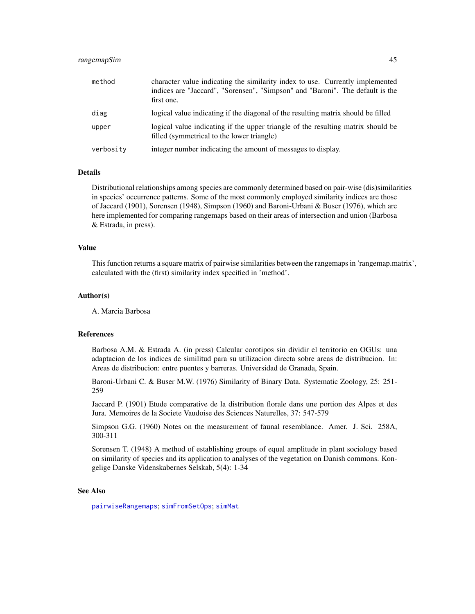# <span id="page-44-0"></span>rangemapSim 45

| method    | character value indicating the similarity index to use. Currently implemented<br>indices are "Jaccard", "Sorensen", "Simpson" and "Baroni". The default is the<br>first one. |
|-----------|------------------------------------------------------------------------------------------------------------------------------------------------------------------------------|
| diag      | logical value indicating if the diagonal of the resulting matrix should be filled                                                                                            |
| upper     | logical value indicating if the upper triangle of the resulting matrix should be<br>filled (symmetrical to the lower triangle)                                               |
| verbosity | integer number indicating the amount of messages to display.                                                                                                                 |

# Details

Distributional relationships among species are commonly determined based on pair-wise (dis)similarities in species' occurrence patterns. Some of the most commonly employed similarity indices are those of Jaccard (1901), Sorensen (1948), Simpson (1960) and Baroni-Urbani & Buser (1976), which are here implemented for comparing rangemaps based on their areas of intersection and union (Barbosa & Estrada, in press).

# Value

This function returns a square matrix of pairwise similarities between the rangemaps in 'rangemap.matrix', calculated with the (first) similarity index specified in 'method'.

#### Author(s)

A. Marcia Barbosa

#### References

Barbosa A.M. & Estrada A. (in press) Calcular corotipos sin dividir el territorio en OGUs: una adaptacion de los indices de similitud para su utilizacion directa sobre areas de distribucion. In: Areas de distribucion: entre puentes y barreras. Universidad de Granada, Spain.

Baroni-Urbani C. & Buser M.W. (1976) Similarity of Binary Data. Systematic Zoology, 25: 251- 259

Jaccard P. (1901) Etude comparative de la distribution florale dans une portion des Alpes et des Jura. Memoires de la Societe Vaudoise des Sciences Naturelles, 37: 547-579

Simpson G.G. (1960) Notes on the measurement of faunal resemblance. Amer. J. Sci. 258A, 300-311

Sorensen T. (1948) A method of establishing groups of equal amplitude in plant sociology based on similarity of species and its application to analyses of the vegetation on Danish commons. Kongelige Danske Videnskabernes Selskab, 5(4): 1-34

#### See Also

[pairwiseRangemaps](#page-40-1); [simFromSetOps](#page-49-1); [simMat](#page-51-1)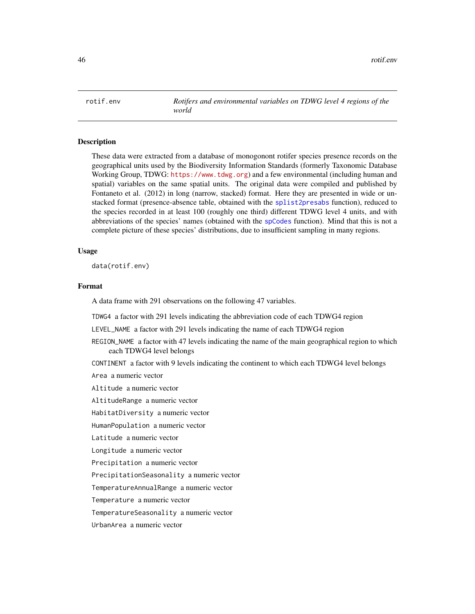<span id="page-45-0"></span>

# **Description**

These data were extracted from a database of monogonont rotifer species presence records on the geographical units used by the Biodiversity Information Standards (formerly Taxonomic Database Working Group, TDWG: <https://www.tdwg.org>) and a few environmental (including human and spatial) variables on the same spatial units. The original data were compiled and published by Fontaneto et al. (2012) in long (narrow, stacked) format. Here they are presented in wide or unstacked format (presence-absence table, obtained with the [splist2presabs](#page-55-1) function), reduced to the species recorded in at least 100 (roughly one third) different TDWG level 4 units, and with abbreviations of the species' names (obtained with the [spCodes](#page-53-1) function). Mind that this is not a complete picture of these species' distributions, due to insufficient sampling in many regions.

#### Usage

data(rotif.env)

#### Format

A data frame with 291 observations on the following 47 variables.

TDWG4 a factor with 291 levels indicating the abbreviation code of each TDWG4 region

LEVEL\_NAME a factor with 291 levels indicating the name of each TDWG4 region

REGION\_NAME a factor with 47 levels indicating the name of the main geographical region to which each TDWG4 level belongs

CONTINENT a factor with 9 levels indicating the continent to which each TDWG4 level belongs

Area a numeric vector

Altitude a numeric vector

AltitudeRange a numeric vector

HabitatDiversity a numeric vector

HumanPopulation a numeric vector

Latitude a numeric vector

Longitude a numeric vector

Precipitation a numeric vector

PrecipitationSeasonality a numeric vector

TemperatureAnnualRange a numeric vector

Temperature a numeric vector

TemperatureSeasonality a numeric vector

UrbanArea a numeric vector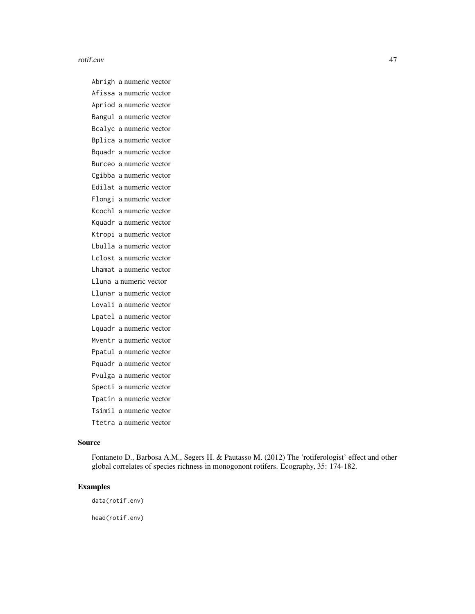#### rotif.env 47

Abrigh a numeric vector Afissa a numeric vector Apriod a numeric vector Bangul a numeric vector Bcalyc a numeric vector Bplica a numeric vector Bquadr a numeric vector Burceo a numeric vector Cgibba a numeric vector Edilat a numeric vector Flongi a numeric vector Kcochl a numeric vector Kquadr a numeric vector Ktropi a numeric vector Lbulla a numeric vector Lclost a numeric vector Lhamat a numeric vector Lluna a numeric vector Llunar a numeric vector Lovali a numeric vector Lpatel a numeric vector Lquadr a numeric vector Mventr a numeric vector Ppatul a numeric vector Pquadr a numeric vector Pvulga a numeric vector Specti a numeric vector Tpatin a numeric vector Tsimil a numeric vector Ttetra a numeric vector

# Source

Fontaneto D., Barbosa A.M., Segers H. & Pautasso M. (2012) The 'rotiferologist' effect and other global correlates of species richness in monogonont rotifers. Ecography, 35: 174-182.

# Examples

data(rotif.env)

head(rotif.env)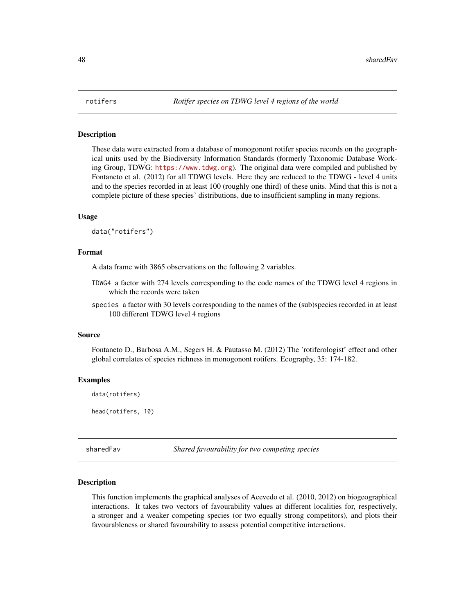#### <span id="page-47-0"></span>Description

These data were extracted from a database of monogonont rotifer species records on the geographical units used by the Biodiversity Information Standards (formerly Taxonomic Database Working Group, TDWG: <https://www.tdwg.org>). The original data were compiled and published by Fontaneto et al. (2012) for all TDWG levels. Here they are reduced to the TDWG - level 4 units and to the species recorded in at least 100 (roughly one third) of these units. Mind that this is not a complete picture of these species' distributions, due to insufficient sampling in many regions.

# Usage

data("rotifers")

# Format

A data frame with 3865 observations on the following 2 variables.

- TDWG4 a factor with 274 levels corresponding to the code names of the TDWG level 4 regions in which the records were taken
- species a factor with 30 levels corresponding to the names of the (sub)species recorded in at least 100 different TDWG level 4 regions

#### Source

Fontaneto D., Barbosa A.M., Segers H. & Pautasso M. (2012) The 'rotiferologist' effect and other global correlates of species richness in monogonont rotifers. Ecography, 35: 174-182.

# Examples

data(rotifers)

head(rotifers, 10)

<span id="page-47-1"></span>sharedFav *Shared favourability for two competing species*

#### Description

This function implements the graphical analyses of Acevedo et al. (2010, 2012) on biogeographical interactions. It takes two vectors of favourability values at different localities for, respectively, a stronger and a weaker competing species (or two equally strong competitors), and plots their favourableness or shared favourability to assess potential competitive interactions.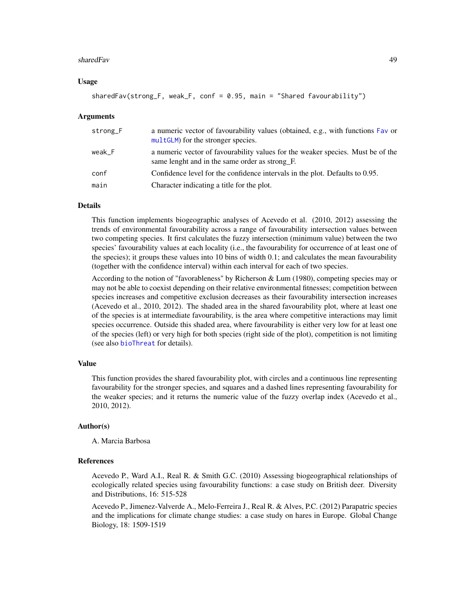# <span id="page-48-0"></span>sharedFav **49**

# Usage

```
sharedFav(strong_F, weak_F, conf = 0.95, main = "Shared favourability")
```
# Arguments

| strong_F | a numeric vector of favourability values (obtained, e.g., with functions Fav or<br>multGLM) for the stronger species.             |
|----------|-----------------------------------------------------------------------------------------------------------------------------------|
| weak F   | a numeric vector of favourability values for the weaker species. Must be of the<br>same lenght and in the same order as strong F. |
| conf     | Confidence level for the confidence intervals in the plot. Defaults to 0.95.                                                      |
| main     | Character indicating a title for the plot.                                                                                        |

# Details

This function implements biogeographic analyses of Acevedo et al. (2010, 2012) assessing the trends of environmental favourability across a range of favourability intersection values between two competing species. It first calculates the fuzzy intersection (minimum value) between the two species' favourability values at each locality (i.e., the favourability for occurrence of at least one of the species); it groups these values into 10 bins of width 0.1; and calculates the mean favourability (together with the confidence interval) within each interval for each of two species.

According to the notion of "favorableness" by Richerson & Lum (1980), competing species may or may not be able to coexist depending on their relative environmental fitnesses; competition between species increases and competitive exclusion decreases as their favourability intersection increases (Acevedo et al., 2010, 2012). The shaded area in the shared favourability plot, where at least one of the species is at intermediate favourability, is the area where competitive interactions may limit species occurrence. Outside this shaded area, where favourability is either very low for at least one of the species (left) or very high for both species (right side of the plot), competition is not limiting (see also [bioThreat](#page-4-1) for details).

# Value

This function provides the shared favourability plot, with circles and a continuous line representing favourability for the stronger species, and squares and a dashed lines representing favourability for the weaker species; and it returns the numeric value of the fuzzy overlap index (Acevedo et al., 2010, 2012).

# Author(s)

A. Marcia Barbosa

# References

Acevedo P., Ward A.I., Real R. & Smith G.C. (2010) Assessing biogeographical relationships of ecologically related species using favourability functions: a case study on British deer. Diversity and Distributions, 16: 515-528

Acevedo P., Jimenez-Valverde A., Melo-Ferreira J., Real R. & Alves, P.C. (2012) Parapatric species and the implications for climate change studies: a case study on hares in Europe. Global Change Biology, 18: 1509-1519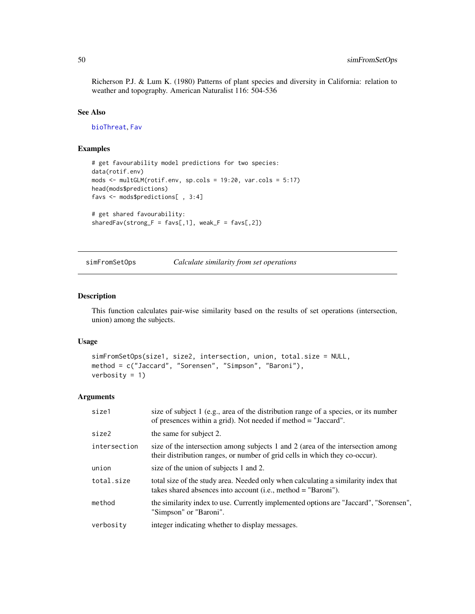<span id="page-49-0"></span>Richerson P.J. & Lum K. (1980) Patterns of plant species and diversity in California: relation to weather and topography. American Naturalist 116: 504-536

#### See Also

[bioThreat](#page-4-1), [Fav](#page-10-1)

# Examples

```
# get favourability model predictions for two species:
data(rotif.env)
mods <- multGLM(rotif.env, sp.cols = 19:20, var.cols = 5:17)
head(mods$predictions)
favs <- mods$predictions[ , 3:4]
# get shared favourability:
sharedFav(strong_F = favs[, 1], weak_F = favs[, 2])
```
<span id="page-49-1"></span>simFromSetOps *Calculate similarity from set operations*

#### Description

This function calculates pair-wise similarity based on the results of set operations (intersection, union) among the subjects.

#### Usage

```
simFromSetOps(size1, size2, intersection, union, total.size = NULL,
method = c("Jaccard", "Sorensen", "Simpson", "Baroni"),
verbosity = 1)
```
# Arguments

| size1        | size of subject 1 (e.g., area of the distribution range of a species, or its number<br>of presences within a grid). Not needed if method = "Jaccard".          |
|--------------|----------------------------------------------------------------------------------------------------------------------------------------------------------------|
| size2        | the same for subject 2.                                                                                                                                        |
| intersection | size of the intersection among subjects 1 and 2 (area of the intersection among<br>their distribution ranges, or number of grid cells in which they co-occur). |
| union        | size of the union of subjects 1 and 2.                                                                                                                         |
| total.size   | total size of the study area. Needed only when calculating a similarity index that<br>takes shared absences into account (i.e., method $=$ "Baroni").          |
| method       | the similarity index to use. Currently implemented options are "Jaccard", "Sorensen",<br>"Simpson" or "Baroni".                                                |
| verbosity    | integer indicating whether to display messages.                                                                                                                |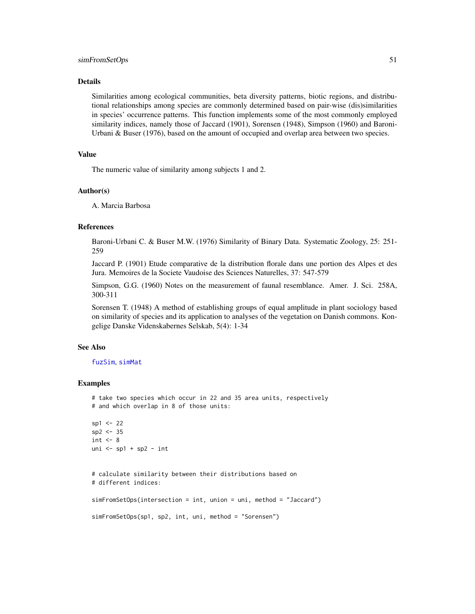# <span id="page-50-0"></span>simFromSetOps 51

# Details

Similarities among ecological communities, beta diversity patterns, biotic regions, and distributional relationships among species are commonly determined based on pair-wise (dis)similarities in species' occurrence patterns. This function implements some of the most commonly employed similarity indices, namely those of Jaccard (1901), Sorensen (1948), Simpson (1960) and Baroni-Urbani & Buser (1976), based on the amount of occupied and overlap area between two species.

# Value

The numeric value of similarity among subjects 1 and 2.

# Author(s)

A. Marcia Barbosa

# References

Baroni-Urbani C. & Buser M.W. (1976) Similarity of Binary Data. Systematic Zoology, 25: 251- 259

Jaccard P. (1901) Etude comparative de la distribution florale dans une portion des Alpes et des Jura. Memoires de la Societe Vaudoise des Sciences Naturelles, 37: 547-579

Simpson, G.G. (1960) Notes on the measurement of faunal resemblance. Amer. J. Sci. 258A, 300-311

Sorensen T. (1948) A method of establishing groups of equal amplitude in plant sociology based on similarity of species and its application to analyses of the vegetation on Danish commons. Kongelige Danske Videnskabernes Selskab, 5(4): 1-34

# See Also

# [fuzSim](#page-16-1), [simMat](#page-51-1)

# Examples

```
# take two species which occur in 22 and 35 area units, respectively
# and which overlap in 8 of those units:
sp1 <- 22
sp2 < -35int <-8uni \leq sp1 + sp2 - int
# calculate similarity between their distributions based on
# different indices:
simFromSetOps(intersection = int, union = uni, method = "Jaccard")
simFromSetOps(sp1, sp2, int, uni, method = "Sorensen")
```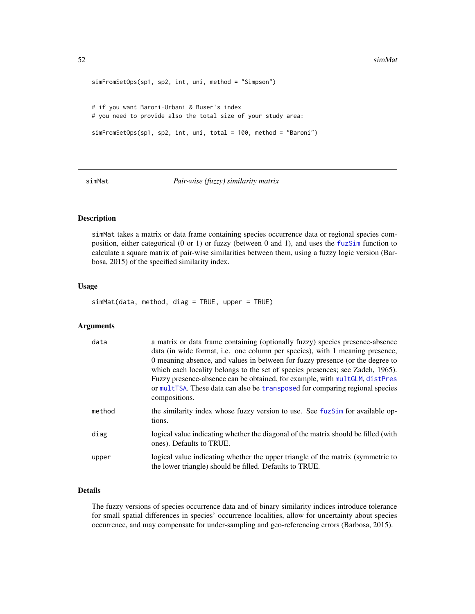```
simFromSetOps(sp1, sp2, int, uni, method = "Simpson")
# if you want Baroni-Urbani & Buser's index
# you need to provide also the total size of your study area:
simFromSetOps(sp1, sp2, int, uni, total = 100, method = "Baroni")
```
#### <span id="page-51-1"></span>simMat *Pair-wise (fuzzy) similarity matrix*

# Description

simMat takes a matrix or data frame containing species occurrence data or regional species composition, either categorical (0 or 1) or fuzzy (between 0 and 1), and uses the [fuzSim](#page-16-1) function to calculate a square matrix of pair-wise similarities between them, using a fuzzy logic version (Barbosa, 2015) of the specified similarity index.

# Usage

simMat(data, method, diag = TRUE, upper = TRUE)

# Arguments

| data   | a matrix or data frame containing (optionally fuzzy) species presence-absence<br>data (in wide format, i.e. one column per species), with 1 meaning presence,<br>0 meaning absence, and values in between for fuzzy presence (or the degree to<br>which each locality belongs to the set of species presences; see Zadeh, 1965).<br>Fuzzy presence-absence can be obtained, for example, with multGLM, distPres<br>or multTSA. These data can also be transposed for comparing regional species<br>compositions. |
|--------|------------------------------------------------------------------------------------------------------------------------------------------------------------------------------------------------------------------------------------------------------------------------------------------------------------------------------------------------------------------------------------------------------------------------------------------------------------------------------------------------------------------|
| method | the similarity index whose fuzzy version to use. See fuzSim for available op-<br>tions.                                                                                                                                                                                                                                                                                                                                                                                                                          |
| diag   | logical value indicating whether the diagonal of the matrix should be filled (with<br>ones). Defaults to TRUE.                                                                                                                                                                                                                                                                                                                                                                                                   |
| upper  | logical value indicating whether the upper triangle of the matrix (symmetric to<br>the lower triangle) should be filled. Defaults to TRUE.                                                                                                                                                                                                                                                                                                                                                                       |

# Details

The fuzzy versions of species occurrence data and of binary similarity indices introduce tolerance for small spatial differences in species' occurrence localities, allow for uncertainty about species occurrence, and may compensate for under-sampling and geo-referencing errors (Barbosa, 2015).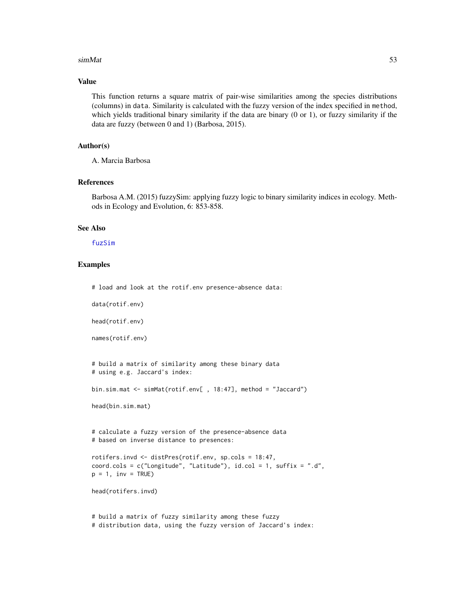#### <span id="page-52-0"></span> $\sin\theta$  at  $\frac{1}{2}$  simMat 53

# Value

This function returns a square matrix of pair-wise similarities among the species distributions (columns) in data. Similarity is calculated with the fuzzy version of the index specified in method, which yields traditional binary similarity if the data are binary (0 or 1), or fuzzy similarity if the data are fuzzy (between 0 and 1) (Barbosa, 2015).

# Author(s)

A. Marcia Barbosa

# References

Barbosa A.M. (2015) fuzzySim: applying fuzzy logic to binary similarity indices in ecology. Methods in Ecology and Evolution, 6: 853-858.

# See Also

# [fuzSim](#page-16-1)

# Examples

# load and look at the rotif.env presence-absence data:

```
data(rotif.env)
```
head(rotif.env)

names(rotif.env)

```
# build a matrix of similarity among these binary data
# using e.g. Jaccard's index:
```
bin.sim.mat <- simMat(rotif.env[ , 18:47], method = "Jaccard")

head(bin.sim.mat)

# calculate a fuzzy version of the presence-absence data # based on inverse distance to presences:

```
rotifers.invd <- distPres(rotif.env, sp.cols = 18:47,
coord.cols = c("Longitude", "Latitude"), id.col = 1, suffix = ".d",
p = 1, inv = TRUE)
```
head(rotifers.invd)

# build a matrix of fuzzy similarity among these fuzzy # distribution data, using the fuzzy version of Jaccard's index: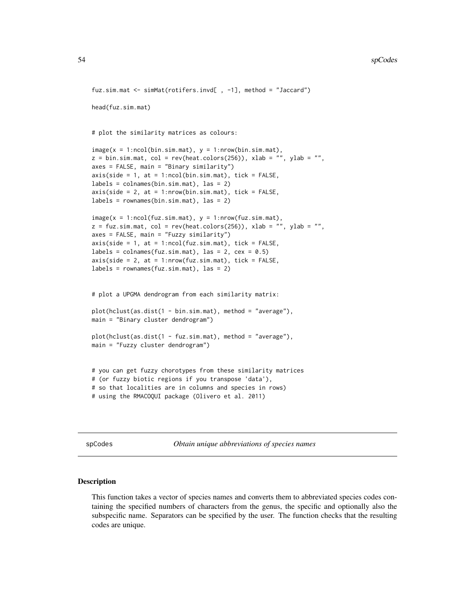```
fuz.sim.mat <- simMat(rotifers.invd[ , -1], method = "Jaccard")
head(fuz.sim.mat)
# plot the similarity matrices as colours:
image(x = 1:ncol(bin,sim,mat), y = 1:ncow(bin,sim,mat),z = bin.sim.max, col = rev(head.colors(256)), xlab = "", ylab = "",axes = FALSE, main = "Binary similarity")
axis(side = 1, at = 1:ncol(bin,sim.max), tick = FALSE,labels = colnames(bin.sim.mat), las = 2)
axis(side = 2, at = 1:nrow(bin.sim.math), tick = FALSE,labels = rownames(bin.sim.math), las = 2)image(x = 1:ncol(fuz.sim.max), y = 1:ncow(fuz.sim.max),z = fuz.sim.max, col = rev(head.colors(256)), xlab = "", ylab = ""axes = FALSE, main = "Fuzzy similarity")
axis(side = 1, at = 1:ncol(fuz.sim.math), tick = FALSE,labels = colnames(fuz.sim.mat), las = 2, cex = 0.5)
axis(side = 2, at = 1:nrow(fuz.sim.math), tick = FALSE,labels = rownames(fuz.sim.mat), las = 2)
# plot a UPGMA dendrogram from each similarity matrix:
plot(hclust(as.dist(1 - bin.sim.mat), method = "average"),
main = "Binary cluster dendrogram")
plot(hclust(as.dist(1 - fuz.sim.mat), method = "average"),
main = "Fuzzy cluster dendrogram")
# you can get fuzzy chorotypes from these similarity matrices
# (or fuzzy biotic regions if you transpose 'data'),
# so that localities are in columns and species in rows)
# using the RMACOQUI package (Olivero et al. 2011)
```
<span id="page-53-1"></span>spCodes *Obtain unique abbreviations of species names*

# Description

This function takes a vector of species names and converts them to abbreviated species codes containing the specified numbers of characters from the genus, the specific and optionally also the subspecific name. Separators can be specified by the user. The function checks that the resulting codes are unique.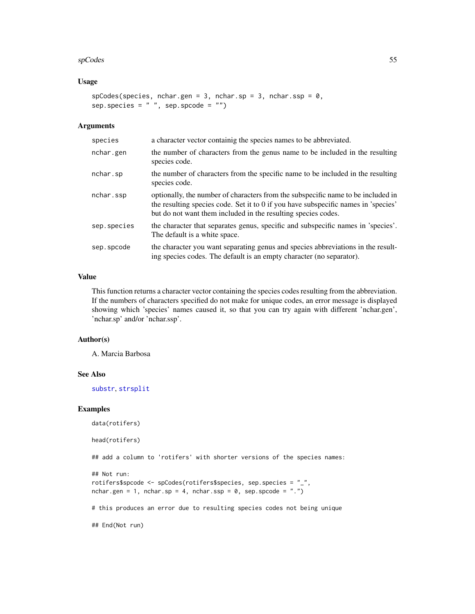#### <span id="page-54-0"></span>spCodes 55

# Usage

```
spCodes(species, nchar.gen = 3, nchar.sp = 3, nchar.ssp = 0,sep.species = " ", sep.spcode = " ")
```
# Arguments

| species     | a character vector containig the species names to be abbreviated.                                                                                                                                                                       |
|-------------|-----------------------------------------------------------------------------------------------------------------------------------------------------------------------------------------------------------------------------------------|
| nchar.gen   | the number of characters from the genus name to be included in the resulting<br>species code.                                                                                                                                           |
| nchar.sp    | the number of characters from the specific name to be included in the resulting<br>species code.                                                                                                                                        |
| nchar.ssp   | optionally, the number of characters from the subspecific name to be included in<br>the resulting species code. Set it to 0 if you have subspecific names in 'species'<br>but do not want them included in the resulting species codes. |
| sep.species | the character that separates genus, specific and subspecific names in 'species'.<br>The default is a white space.                                                                                                                       |
| sep.spcode  | the character you want separating genus and species abbreviations in the result-<br>ing species codes. The default is an empty character (no separator).                                                                                |

# Value

This function returns a character vector containing the species codes resulting from the abbreviation. If the numbers of characters specified do not make for unique codes, an error message is displayed showing which 'species' names caused it, so that you can try again with different 'nchar.gen', 'nchar.sp' and/or 'nchar.ssp'.

#### Author(s)

A. Marcia Barbosa

# See Also

[substr](#page-0-0), [strsplit](#page-0-0)

# Examples

```
data(rotifers)
```
head(rotifers)

## add a column to 'rotifers' with shorter versions of the species names:

```
## Not run:
rotifers$spcode <- spCodes(rotifers$species, sep.species = "_",
nchar.gen = 1, nchar.sp = 4, nchar.ssp = 0, sep.spcode = ".")
```
# this produces an error due to resulting species codes not being unique

## End(Not run)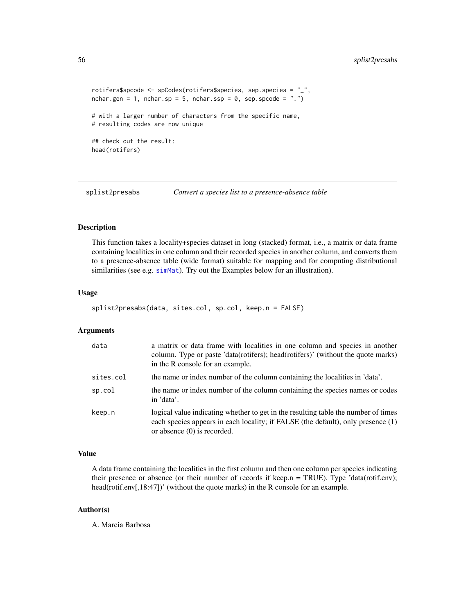```
rotifers$spcode <- spCodes(rotifers$species, sep.species = "_",
nchar.gen = 1, nchar.sp = 5, nchar.ssp = 0, sep.spcode = ".")
# with a larger number of characters from the specific name,
# resulting codes are now unique
## check out the result:
head(rotifers)
```
<span id="page-55-1"></span>

splist2presabs *Convert a species list to a presence-absence table*

# Description

This function takes a locality+species dataset in long (stacked) format, i.e., a matrix or data frame containing localities in one column and their recorded species in another column, and converts them to a presence-absence table (wide format) suitable for mapping and for computing distributional similarities (see e.g. [simMat](#page-51-1)). Try out the Examples below for an illustration).

# Usage

```
splist2presabs(data, sites.col, sp.col, keep.n = FALSE)
```
### Arguments

| data      | a matrix or data frame with localities in one column and species in another<br>column. Type or paste 'data(rotifers); head(rotifers)' (without the quote marks)<br>in the R console for an example.     |
|-----------|---------------------------------------------------------------------------------------------------------------------------------------------------------------------------------------------------------|
| sites.col | the name or index number of the column containing the localities in 'data'.                                                                                                                             |
| sp.col    | the name or index number of the column containing the species names or codes<br>in 'data'.                                                                                                              |
| keep.n    | logical value indicating whether to get in the resulting table the number of times<br>each species appears in each locality; if FALSE (the default), only presence (1)<br>or absence $(0)$ is recorded. |

#### Value

A data frame containing the localities in the first column and then one column per species indicating their presence or absence (or their number of records if keep.n = TRUE). Type 'data(rotif.env); head(rotif.env[,18:47])' (without the quote marks) in the R console for an example.

# Author(s)

A. Marcia Barbosa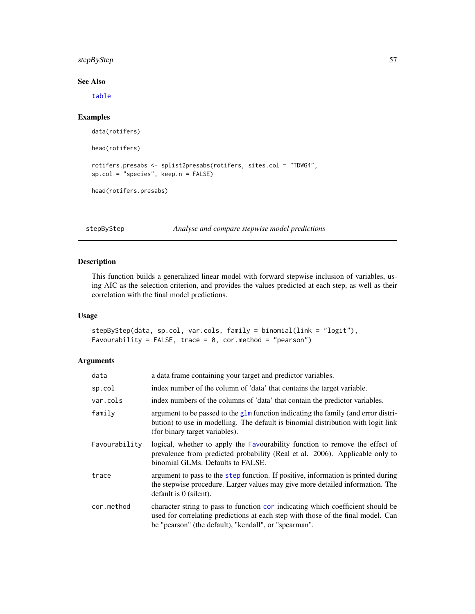# <span id="page-56-0"></span>stepByStep 57

# See Also

[table](#page-0-0)

# Examples

```
data(rotifers)
head(rotifers)
rotifers.presabs <- splist2presabs(rotifers, sites.col = "TDWG4",
sp.col = "species", keep.n = FALSE)
head(rotifers.presabs)
```
stepByStep *Analyse and compare stepwise model predictions*

# Description

This function builds a generalized linear model with forward stepwise inclusion of variables, using AIC as the selection criterion, and provides the values predicted at each step, as well as their correlation with the final model predictions.

# Usage

```
stepByStep(data, sp.col, var.cols, family = binomial(link = "logit"),
Favourability = FALSE, trace = 0, cor.method = "pearson")
```
# Arguments

| data          | a data frame containing your target and predictor variables.                                                                                                                                                                 |
|---------------|------------------------------------------------------------------------------------------------------------------------------------------------------------------------------------------------------------------------------|
| sp.col        | index number of the column of 'data' that contains the target variable.                                                                                                                                                      |
| var.cols      | index numbers of the columns of 'data' that contain the predictor variables.                                                                                                                                                 |
| family        | argument to be passed to the glm function indicating the family (and error distri-<br>bution) to use in modelling. The default is binomial distribution with logit link<br>(for binary target variables).                    |
| Favourability | logical, whether to apply the Favourability function to remove the effect of<br>prevalence from predicted probability (Real et al. 2006). Applicable only to<br>binomial GLMs. Defaults to FALSE.                            |
| trace         | argument to pass to the step function. If positive, information is printed during<br>the stepwise procedure. Larger values may give more detailed information. The<br>default is $0$ (silent).                               |
| cor.method    | character string to pass to function cor indicating which coefficient should be<br>used for correlating predictions at each step with those of the final model. Can<br>be "pearson" (the default), "kendall", or "spearman". |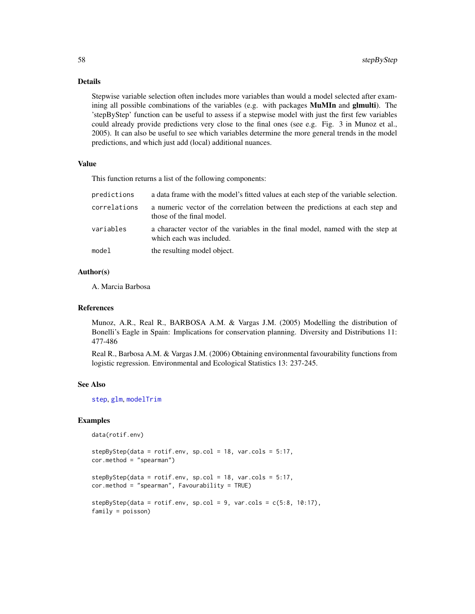# Details

Stepwise variable selection often includes more variables than would a model selected after examining all possible combinations of the variables (e.g. with packages MuMIn and glmulti). The 'stepByStep' function can be useful to assess if a stepwise model with just the first few variables could already provide predictions very close to the final ones (see e.g. Fig. 3 in Munoz et al., 2005). It can also be useful to see which variables determine the more general trends in the model predictions, and which just add (local) additional nuances.

#### Value

This function returns a list of the following components:

| predictions  | a data frame with the model's fitted values at each step of the variable selection.                        |
|--------------|------------------------------------------------------------------------------------------------------------|
| correlations | a numeric vector of the correlation between the predictions at each step and<br>those of the final model.  |
| variables    | a character vector of the variables in the final model, named with the step at<br>which each was included. |
| model        | the resulting model object.                                                                                |

# Author(s)

A. Marcia Barbosa

# References

Munoz, A.R., Real R., BARBOSA A.M. & Vargas J.M. (2005) Modelling the distribution of Bonelli's Eagle in Spain: Implications for conservation planning. Diversity and Distributions 11: 477-486

Real R., Barbosa A.M. & Vargas J.M. (2006) Obtaining environmental favourability functions from logistic regression. Environmental and Ecological Statistics 13: 237-245.

#### See Also

[step](#page-0-0), [glm](#page-0-0), [modelTrim](#page-28-1)

# Examples

```
data(rotif.env)
```

```
stepByStep(data = rotif.env, sp.col = 18, var.cols = 5:17,
cor.method = "spearman")
stepByStep(data = rotif.env, sp.col = 18, var.cols = 5:17,
cor.method = "spearman", Favourability = TRUE)
stepByStep(data = rotif. env, sp.col = 9, var.cols = c(5:8, 10:17),
```

```
family = poisson)
```
<span id="page-57-0"></span>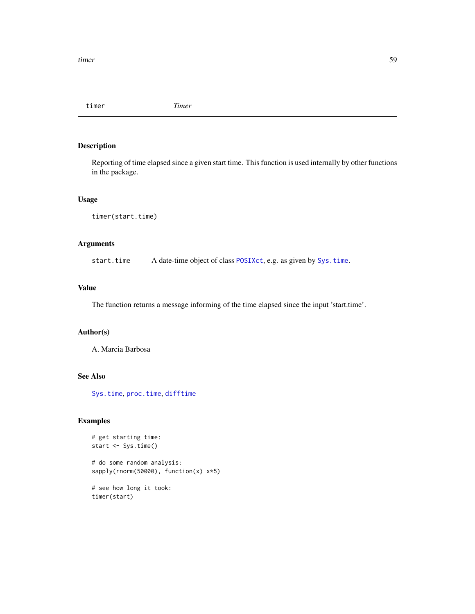<span id="page-58-0"></span>timer *Timer*

# Description

Reporting of time elapsed since a given start time. This function is used internally by other functions in the package.

# Usage

```
timer(start.time)
```
# Arguments

start.time A date-time object of class [POSIXct](#page-0-0), e.g. as given by [Sys.time](#page-0-0).

#### Value

The function returns a message informing of the time elapsed since the input 'start.time'.

# Author(s)

A. Marcia Barbosa

# See Also

[Sys.time](#page-0-0), [proc.time](#page-0-0), [difftime](#page-0-0)

# Examples

```
# get starting time:
start <- Sys.time()
# do some random analysis:
sapply(rnorm(50000), function(x) x*5)
# see how long it took:
```
timer(start)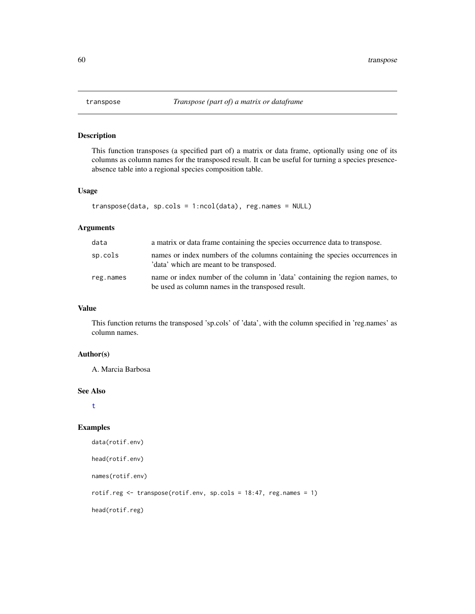<span id="page-59-1"></span><span id="page-59-0"></span>

# Description

This function transposes (a specified part of) a matrix or data frame, optionally using one of its columns as column names for the transposed result. It can be useful for turning a species presenceabsence table into a regional species composition table.

# Usage

```
transpose(data, sp.cols = 1:ncol(data), reg.names = NULL)
```
# Arguments

| data      | a matrix or data frame containing the species occurrence data to transpose.                                                       |
|-----------|-----------------------------------------------------------------------------------------------------------------------------------|
| sp.cols   | names or index numbers of the columns containing the species occurrences in<br>'data' which are meant to be transposed.           |
| reg.names | name or index number of the column in 'data' containing the region names, to<br>be used as column names in the transposed result. |

# Value

This function returns the transposed 'sp.cols' of 'data', with the column specified in 'reg.names' as column names.

# Author(s)

A. Marcia Barbosa

#### See Also

[t](#page-0-0)

#### Examples

```
data(rotif.env)
head(rotif.env)
names(rotif.env)
rotif.reg <- transpose(rotif.env, sp.cols = 18:47, reg.names = 1)
head(rotif.reg)
```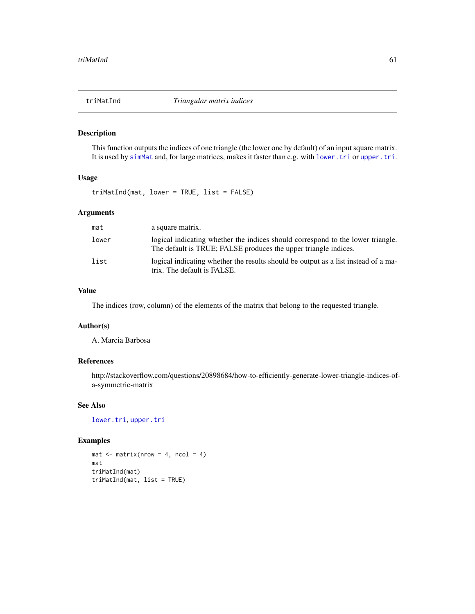<span id="page-60-0"></span>

# Description

This function outputs the indices of one triangle (the lower one by default) of an input square matrix. It is used by [simMat](#page-51-1) and, for large matrices, makes it faster than e.g. with [lower.tri](#page-0-0) or [upper.tri](#page-0-0).

# Usage

triMatInd(mat, lower = TRUE, list = FALSE)

# Arguments

| mat   | a square matrix.                                                                                                                                   |
|-------|----------------------------------------------------------------------------------------------------------------------------------------------------|
| lower | logical indicating whether the indices should correspond to the lower triangle.<br>The default is TRUE; FALSE produces the upper triangle indices. |
| list  | logical indicating whether the results should be output as a list instead of a ma-<br>trix. The default is FALSE.                                  |

# Value

The indices (row, column) of the elements of the matrix that belong to the requested triangle.

# Author(s)

A. Marcia Barbosa

# References

http://stackoverflow.com/questions/20898684/how-to-efficiently-generate-lower-triangle-indices-ofa-symmetric-matrix

# See Also

[lower.tri](#page-0-0), [upper.tri](#page-0-0)

# Examples

 $mat < - matrix(nrow = 4, ncol = 4)$ mat triMatInd(mat) triMatInd(mat, list = TRUE)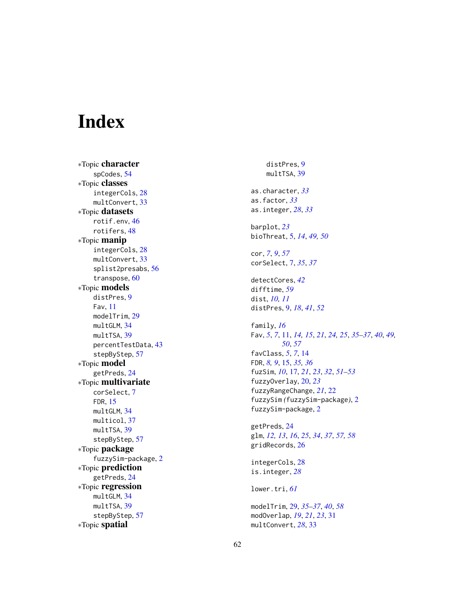# <span id="page-61-0"></span>Index

∗Topic character spCodes , [54](#page-53-0) ∗Topic classes integerCols , [28](#page-27-0) multConvert, [33](#page-32-0) ∗Topic datasets rotif.env , [46](#page-45-0) rotifers , [48](#page-47-0) ∗Topic manip integerCols , [28](#page-27-0) multConvert, [33](#page-32-0) splist2presabs , [56](#page-55-0) transpose , [60](#page-59-0) ∗Topic models distPres , [9](#page-8-0) Fav , [11](#page-10-0) modelTrim , [29](#page-28-0) multGLM, [34](#page-33-0) multTSA, [39](#page-38-0) percentTestData , [43](#page-42-0) stepByStep , [57](#page-56-0) ∗Topic model getPreds , [24](#page-23-0) ∗Topic multivariate corSelect , [7](#page-6-0) FDR , [15](#page-14-0) multGLM , [34](#page-33-0) multicol , [37](#page-36-0) multTSA, [39](#page-38-0) stepByStep , [57](#page-56-0) ∗Topic package fuzzySim-package , [2](#page-1-0) ∗Topic prediction getPreds , [24](#page-23-0) ∗Topic regression multGLM, [34](#page-33-0) multTSA, [39](#page-38-0) stepByStep , [57](#page-56-0) ∗Topic spatial

distPres , [9](#page-8-0) multTSA, [39](#page-38-0) as.character , *[33](#page-32-0)* as.factor , *[33](#page-32-0)* as.integer , *[28](#page-27-0)* , *[33](#page-32-0)* barplot , *[23](#page-22-0)* bioThreat , [5](#page-4-0) , *[14](#page-13-0)* , *[49](#page-48-0) , [50](#page-49-0)* cor , *[7](#page-6-0)* , *[9](#page-8-0)* , *[57](#page-56-0)* corSelect , [7](#page-6-0) , *[35](#page-34-0)* , *[37](#page-36-0)* detectCores , *[42](#page-41-0)* difftime , *[59](#page-58-0)* dist , *[10](#page-9-0) , [11](#page-10-0)* distPres , [9](#page-8-0) , *[18](#page-17-0)* , *[41](#page-40-0)* , *[52](#page-51-0)* family , *[16](#page-15-0)* Fav, [5](#page-4-0), [7](#page-6-0), [11](#page-10-0), [14](#page-13-0), [15](#page-14-0), [21](#page-20-0), [24](#page-23-0), [25](#page-24-0), [35](#page-34-0)[–37](#page-36-0), [40](#page-39-0), [49](#page-48-0), *[50](#page-49-0)* , *[57](#page-56-0)* favClass , *[5](#page-4-0)* , *[7](#page-6-0)* , [14](#page-13-0) FDR , *[8](#page-7-0) , [9](#page-8-0)* , [15](#page-14-0) , *[35](#page-34-0) , [36](#page-35-0)* fuzSim , *[10](#page-9-0)* , [17](#page-16-0) , *[21](#page-20-0)* , *[23](#page-22-0)* , *[32](#page-31-0)* , *[51](#page-50-0) [–53](#page-52-0)* fuzzyOverlay , [20](#page-19-0) , *[23](#page-22-0)* fuzzyRangeChange , *[21](#page-20-0)* , [22](#page-21-0) fuzzySim *(*fuzzySim-package *)* , [2](#page-1-0) fuzzySim-package , [2](#page-1-0) getPreds , [24](#page-23-0) glm , *[12](#page-11-0) , [13](#page-12-0)* , *[16](#page-15-0)* , *[25](#page-24-0)* , *[34](#page-33-0)* , *[37](#page-36-0)* , *[57,](#page-56-0) [58](#page-57-0)* gridRecords , [26](#page-25-0) integerCols , [28](#page-27-0) is.integer , *[28](#page-27-0)* lower.tri , *[61](#page-60-0)* modelTrim , [29](#page-28-0) , *[35](#page-34-0) [–37](#page-36-0)* , *[40](#page-39-0)* , *[58](#page-57-0)* modOverlap , *[19](#page-18-0)* , *[21](#page-20-0)* , *[23](#page-22-0)* , [31](#page-30-0) multConvert , *[28](#page-27-0)* , [33](#page-32-0)